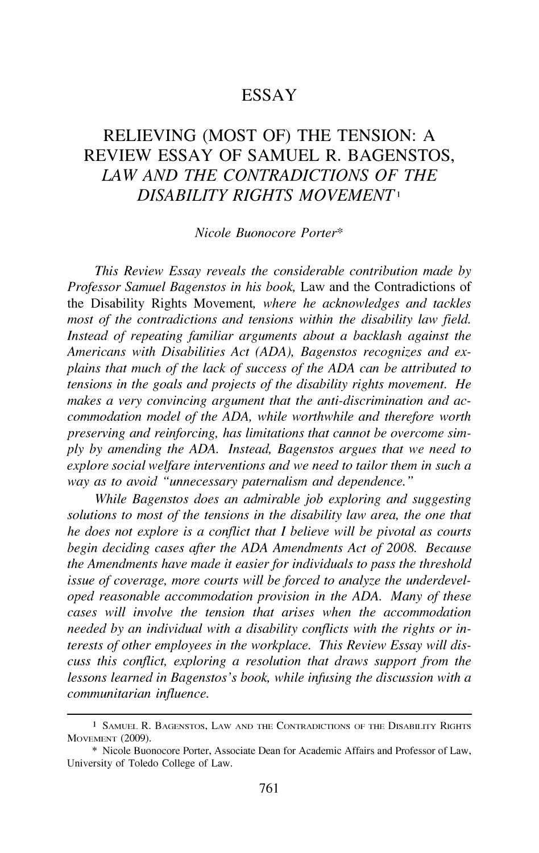## ESSAY

# RELIEVING (MOST OF) THE TENSION: A REVIEW ESSAY OF SAMUEL R. BAGENSTOS, *LAW AND THE CONTRADICTIONS OF THE DISABILITY RIGHTS MOVEMENT <sup>1</sup>*

#### *Nicole Buonocore Porter\**

*This Review Essay reveals the considerable contribution made by Professor Samuel Bagenstos in his book,* Law and the Contradictions of the Disability Rights Movement, *where he acknowledges and tackles most of the contradictions and tensions within the disability law field. Instead of repeating familiar arguments about a backlash against the Americans with Disabilities Act (ADA), Bagenstos recognizes and explains that much of the lack of success of the ADA can be attributed to tensions in the goals and projects of the disability rights movement. He makes a very convincing argument that the anti-discrimination and accommodation model of the ADA, while worthwhile and therefore worth preserving and reinforcing, has limitations that cannot be overcome simply by amending the ADA. Instead, Bagenstos argues that we need to explore social welfare interventions and we need to tailor them in such a way as to avoid "unnecessary paternalism and dependence.* "

*While Bagenstos does an admirable job exploring and suggesting solutions to most of the tensions in the disability law area, the one that he does not explore is a conflict that I believe will be pivotal as courts begin deciding cases after the ADA Amendments Act of 2008. Because the Amendments have made it easier for individuals to pass the threshold issue of coverage, more courts will be forced to analyze the underdeveloped reasonable accommodation provision in the ADA. Many of these cases will involve the tension that arises when the accommodation needed by an individual with a disability conflicts with the rights or interests of other employees in the workplace. This Review Essay will discuss this conflict, exploring a resolution that draws support from the lessons learned in Bagenstos's book, while infusing the discussion with a communitarian influence.* 

l SAMUEL R. BAGENSTOS, LAW AND THE CONTRADICTIONS OF THE DISABILITY RIGHTS MOVEMENT (2009).

<sup>\*</sup> Nicole Buonocore Porter, Associate Dean for Academic Affairs and Professor of Law, University of Toledo College of Law.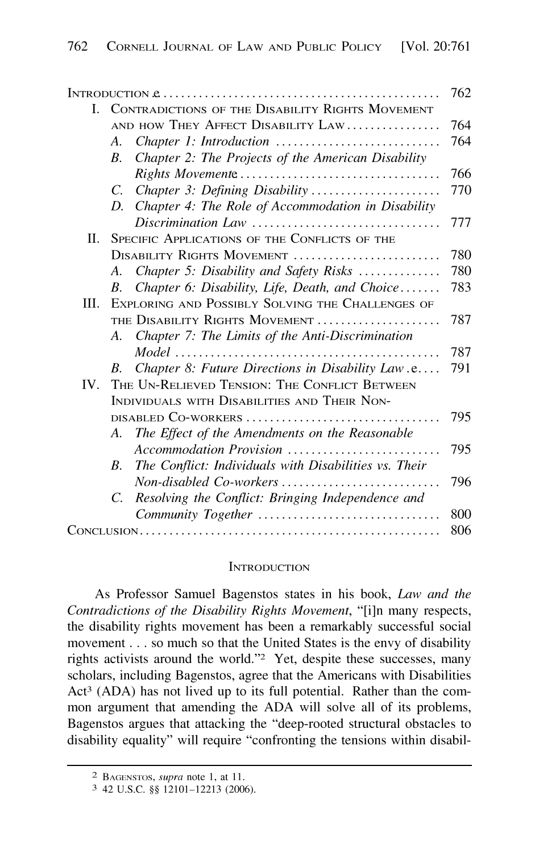| L.   | CONTRADICTIONS OF THE DISABILITY RIGHTS MOVEMENT |                                                       |     |  |  |
|------|--------------------------------------------------|-------------------------------------------------------|-----|--|--|
|      | AND HOW THEY AFFECT DISABILITY LAW               |                                                       |     |  |  |
|      | А.                                               | Chapter 1: Introduction                               | 764 |  |  |
|      | $\mathcal{B}_{\cdot}$                            | Chapter 2: The Projects of the American Disability    |     |  |  |
|      |                                                  |                                                       | 766 |  |  |
|      | C.                                               | Chapter 3: Defining Disability                        | 770 |  |  |
|      | D.                                               | Chapter 4: The Role of Accommodation in Disability    |     |  |  |
|      |                                                  | Discrimination Law                                    | 777 |  |  |
| П.   | SPECIFIC APPLICATIONS OF THE CONFLICTS OF THE    |                                                       |     |  |  |
|      | DISABILITY RIGHTS MOVEMENT                       |                                                       |     |  |  |
|      | A.                                               | Chapter 5: Disability and Safety Risks                | 780 |  |  |
|      | В.                                               | Chapter 6: Disability, Life, Death, and Choice        | 783 |  |  |
| III. | EXPLORING AND POSSIBLY SOLVING THE CHALLENGES OF |                                                       |     |  |  |
|      | THE DISABILITY RIGHTS MOVEMENT                   |                                                       |     |  |  |
|      |                                                  | A. Chapter 7: The Limits of the Anti-Discrimination   |     |  |  |
|      |                                                  |                                                       | 787 |  |  |
|      | $B_{-}$                                          | Chapter 8: Future Directions in Disability Law.e      | 791 |  |  |
| IV.  | THE UN-RELIEVED TENSION: THE CONFLICT BETWEEN    |                                                       |     |  |  |
|      | INDIVIDUALS WITH DISABILITIES AND THEIR NON-     |                                                       |     |  |  |
|      |                                                  |                                                       |     |  |  |
|      |                                                  | A. The Effect of the Amendments on the Reasonable     |     |  |  |
|      |                                                  | Accommodation Provision                               | 795 |  |  |
|      | В.                                               | The Conflict: Individuals with Disabilities vs. Their |     |  |  |
|      |                                                  | Non-disabled Co-workers                               | 796 |  |  |
|      | C.                                               | Resolving the Conflict: Bringing Independence and     |     |  |  |
|      |                                                  | Community Together                                    | 800 |  |  |
|      |                                                  |                                                       |     |  |  |

#### **INTRODUCTION**

As Professor Samuel Bagenstos states in his book, *Law and the Contradictions of the Disability Rights Movement,* "[i]n many respects, the disability rights movement has been a remarkably successful social movement ... so much so that the United States is the envy of disability rights activists around the world."2 Yet, despite these successes, many scholars, including Bagenstos, agree that the Americans with Disabilities Act<sup>3</sup> (ADA) has not lived up to its full potential. Rather than the common argument that amending the ADA will solve all of its problems, Bagenstos argues that attacking the "deep-rooted structural obstacles to disability equality" will require "confronting the tensions within disabil-

<sup>2</sup> BAGENSTOS, *supra* note 1, at 11.

<sup>3 42</sup> u.s.c. §§ 12101-12213 (2006).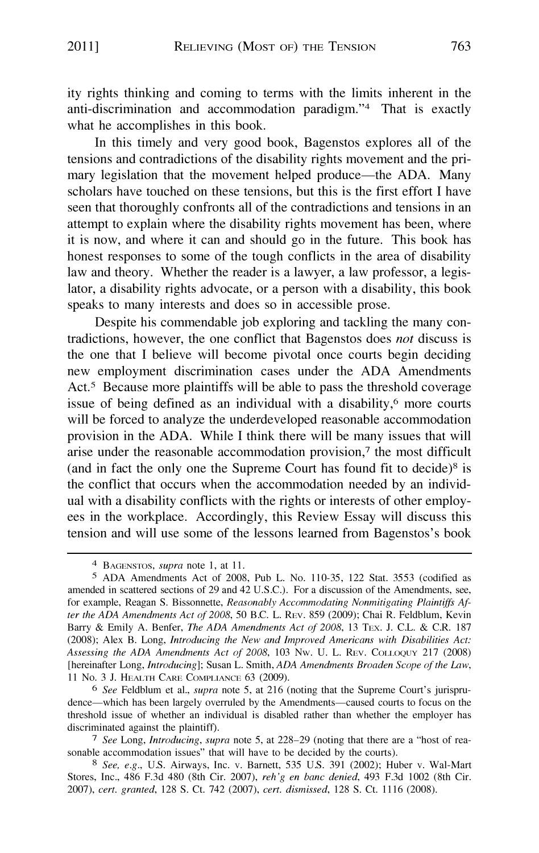ity rights thinking and coming to terms with the limits inherent in the anti-discrimination and accommodation paradigm."4 That is exactly what he accomplishes in this book.

In this timely and very good book, Bagenstos explores all of the tensions and contradictions of the disability rights movement and the primary legislation that the movement helped produce—the ADA. Many scholars have touched on these tensions, but this is the first effort I have seen that thoroughly confronts all of the contradictions and tensions in an attempt to explain where the disability rights movement has been, where it is now, and where it can and should go in the future. This book has honest responses to some of the tough conflicts in the area of disability law and theory. Whether the reader is a lawyer, a law professor, a legislator, a disability rights advocate, or a person with a disability, this book speaks to many interests and does so in accessible prose.

Despite his commendable job exploring and tackling the many contradictions, however, the one conflict that Bagenstos does *not* discuss is the one that I believe will become pivotal once courts begin deciding new employment discrimination cases under the ADA Amendments Act.*5* Because more plaintiffs will be able to pass the threshold coverage issue of being defined as an individual with a disability, $6$  more courts will be forced to analyze the underdeveloped reasonable accommodation provision in the ADA. While I think there will be many issues that will arise under the reasonable accommodation provision, $<sup>7</sup>$  the most difficult</sup> (and in fact the only one the Supreme Court has found fit to decide) $8$  is the conflict that occurs when the accommodation needed by an individual with a disability conflicts with the rights or interests of other employees in the workplace. Accordingly, this Review Essay will discuss this tension and will use some of the lessons learned from Bagenstos's book

6 *See* Feldblum et al., *supra* note 5, at 216 (noting that the Supreme Court's jurisprudence-which has been largely overruled by the Amendments-caused courts to focus on the threshold issue of whether an individual is disabled rather than whether the employer has discriminated against the plaintiff).

7 *See* Long, *Introducing, supra* note 5, at 228-29 (noting that there are a "host of reasonable accommodation issues" that will have to be decided by the courts).

8 *See, e.g.,* U.S. Airways, Inc. v. Barnett, 535 U.S. 391 (2002); Huber v. Wal-Mart Stores, Inc., 486 F.3d 480 (8th Cir. 2007), *reh'g en bane denied,* 493 F.3d 1002 (8th Cir. 2007), *cert. granted,* 128 S. Ct. 742 (2007), *cert. dismissed,* 128 S. Ct. 1116 (2008).

<sup>4</sup> BAGENSTOS, *supra* note 1, at 11.

<sup>5</sup> ADA Amendments Act of 2008, Pub L. No. 110-35, 122 Stat. 3553 (codified as amended in scattered sections of 29 and 42 U.S.C.). For a discussion of the Amendments, see, for example, Reagan S. Bissonnette, *Reasonably Accommodating Nonmitigating Plaintiffs After the ADA Amendments Act of 2008,* 50 B.C. L. REv. 859 (2009); Chai R. Feldblum, Kevin Barry & Emily A. Benfer, *The ADA Amendments Act of 2008,* 13 TEx. J. C.L. & C.R. 187 (2008); Alex B. Long, *Introducing the New and Improved Americans with Disabilities Act: Assessing the ADA Amendments Act of 2008,* 103 Nw. U. L. REv. COLLOQUY 217 (2008) [hereinafter Long, *Introducing];* Susan L. Smith, *ADA Amendments Broaden Scope of the Law,*  11 No. 3 J. HEALTH CARE COMPLIANCE 63 (2009).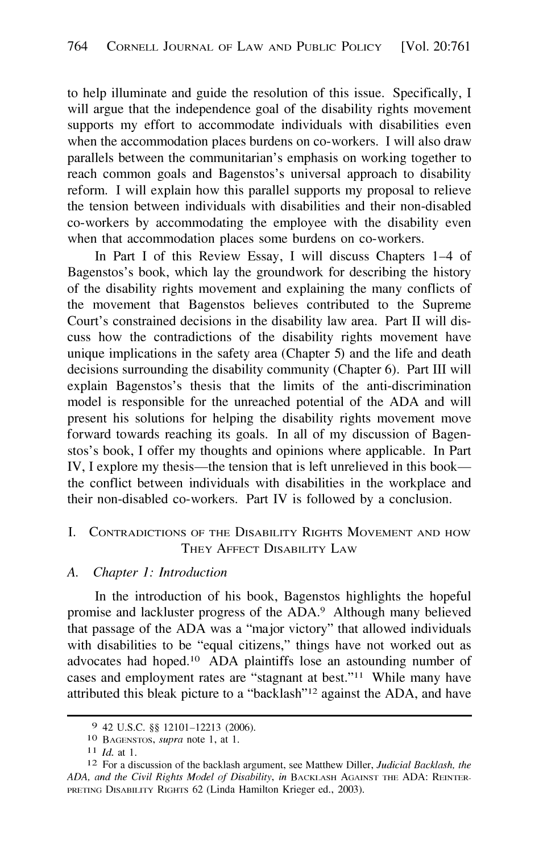<span id="page-3-0"></span>to help illuminate and guide the resolution of this issue. Specifically, I will argue that the independence goal of the disability rights movement supports my effort to accommodate individuals with disabilities even when the accommodation places burdens on co-workers. I will also draw parallels between the communitarian's emphasis on working together to reach common goals and Bagenstos's universal approach to disability reform. I will explain how this parallel supports my proposal to relieve the tension between individuals with disabilities and their non-disabled co-workers by accommodating the employee with the disability even when that accommodation places some burdens on co-workers.

In Part I of this Review Essay, I will discuss Chapters 1-4 of Bagenstos's book, which lay the groundwork for describing the history of the disability rights movement and explaining the many conflicts of the movement that Bagenstos believes contributed to the Supreme Court's constrained decisions in the disability law area. Part II will discuss how the contradictions of the disability rights movement have unique implications in the safety area (Chapter 5) and the life and death decisions surrounding the disability community (Chapter 6). Part III will explain Bagenstos's thesis that the limits of the anti-discrimination model is responsible for the unreached potential of the ADA and will present his solutions for helping the disability rights movement move forward towards reaching its goals. In all of my discussion of Bagenstos's book, I offer my thoughts and opinions where applicable. In Part IV, I explore my thesis—the tension that is left unrelieved in this book the conflict between individuals with disabilities in the workplace and their non-disabled co-workers. Part IV is followed by a conclusion.

#### l. CONTRADICTIONS OF THE DISABILITY RIGHTS MOVEMENT AND HOW THEY AFFECT DISABILITY LAW

#### *A. Chapter 1: Introduction*

In the introduction of his book, Bagenstos highlights the hopeful promise and lackluster progress of the ADA.9 Although many believed that passage of the ADA was a "major victory" that allowed individuals with disabilities to be "equal citizens," things have not worked out as advocates had [hoped.](https://hoped.10)10 ADA plaintiffs lose an astounding number of cases and employment rates are "stagnant at best."<sup>11</sup> While many have attributed this bleak picture to a "backlash"12 against the ADA, and have

<sup>9 42</sup> U.S.C. §§ 12101-12213 (2006). 10 BAGENSTOS, *supra* note 1, at 1.

**<sup>11</sup>***Id.* at 1.

<sup>12</sup> For a discussion of the backlash argument, see Matthew Diller, *Judicial Backlash, the*  ADA, and the Civil Rights Model of Disability, in BACKLASH AGAINST THE ADA: REINTER-PRETING DISABILITY RIGHTS 62 (Linda Hamilton Krieger ed., 2003).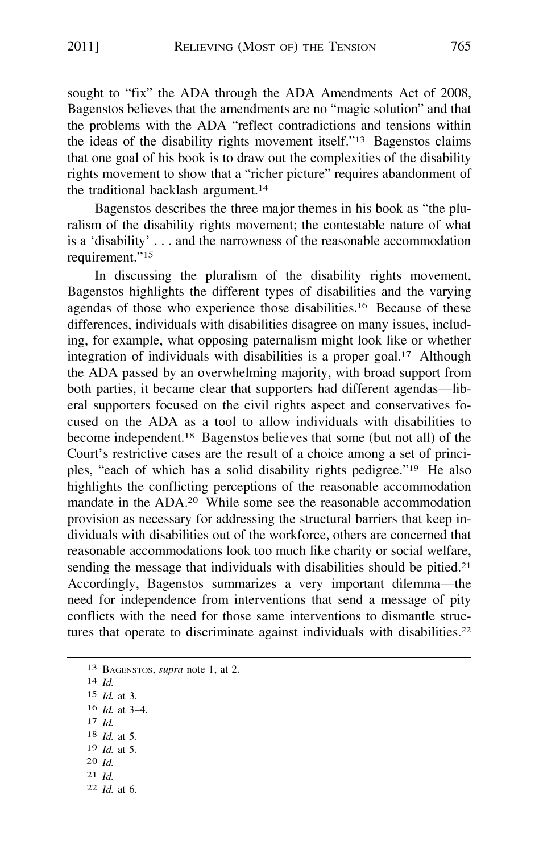sought to "fix" the ADA through the ADA Amendments Act of 2008, Bagenstos believes that the amendments are no "magic solution" and that the problems with the ADA "reflect contradictions and tensions within the ideas of the disability rights movement itself."<sup>13</sup> Bagenstos claims that one goal of his book is to draw out the complexities of the disability rights movement to show that a "richer picture" requires abandonment of the traditional backlash [argument.](https://argument.14)**<sup>14</sup>**

Bagenstos describes the three major themes in his book as "the pluralism of the disability rights movement; the contestable nature of what is a 'disability' ... and the narrowness of the reasonable accommodation requirement."**<sup>15</sup>**

In discussing the pluralism of the disability rights movement, Bagenstos highlights the different types of disabilities and the varying agendas of those who experience those [disabilities.](https://disabilities.16)<sup>16</sup> Because of these differences, individuals with disabilities disagree on many issues, including, for example, what opposing paternalism might look like or whether integration of individuals with disabilities is a proper goal.<sup>17</sup> Although the ADA passed by an overwhelming majority, with broad support from both parties, it became clear that supporters had different agendas—liberal supporters focused on the civil rights aspect and conservatives focused on the ADA as a tool to allow individuals with disabilities to become [independent.](https://independent.18)<sup>18</sup> Bagenstos believes that some (but not all) of the Court's restrictive cases are the result of a choice among a set of principles, "each of which has a solid disability rights pedigree."<sup>19</sup> He also highlights the conflicting perceptions of the reasonable accommodation mandate in the ADA.<sup>20</sup> While some see the reasonable accommodation provision as necessary for addressing the structural barriers that keep individuals with disabilities out of the workforce, others are concerned that reasonable accommodations look too much like charity or social welfare, sending the message that individuals with disabilities should be [pitied.](https://pitied.21)**<sup>21</sup>** Accordingly, Bagenstos summarizes a very important dilemma-the need for independence from interventions that send a message of pity conflicts with the need for those same interventions to dismantle structures that operate to discriminate against individuals with [disabilities.](https://disabilities.22)**<sup>22</sup>**

|  | 13 BAGENSTOS, <i>supra</i> note 1, at 2. |  |  |  |  |  |
|--|------------------------------------------|--|--|--|--|--|
|--|------------------------------------------|--|--|--|--|--|

- **<sup>14</sup>***Id.*
- **<sup>15</sup>***Id.* at 3.
- **<sup>16</sup>***Id.* at **3--4.**
- **17** *Id.*
- **<sup>18</sup>***Id.* at **5. 19** *Id.* at **5.**
- **<sup>20</sup>***Id.*
- **<sup>21</sup>***Id.*
- **<sup>22</sup>***Id.* at 6.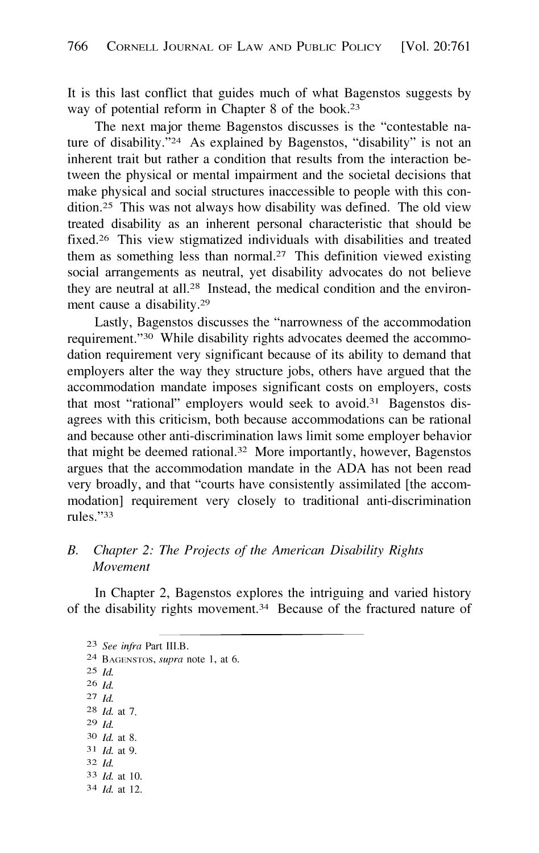<span id="page-5-0"></span>It is this last conflict that guides much of what Bagenstos suggests by way of potential reform in Chapter 8 of the book.<sup>23</sup>

The next major theme Bagenstos discusses is the "contestable nature of disability."24 As explained by Bagenstos, "disability" is not an inherent trait but rather a condition that results from the interaction between the physical or mental impairment and the societal decisions that make physical and social structures inaccessible to people with this con[dition.25](https://dition.25) This was not always how disability was defined. The old view treated disability as an inherent personal characteristic that should be [fixed.26](https://fixed.26) This view stigmatized individuals with disabilities and treated them as something less than [normal.27](https://normal.27) This definition viewed existing social arrangements as neutral, yet disability advocates do not believe they are neutral at all.28 Instead, the medical condition and the environment cause a disability.29

Lastly, Bagenstos discusses the "narrowness of the accommodation requirement."30 While disability rights advocates deemed the accommodation requirement very significant because of its ability to demand that employers alter the way they structure jobs, others have argued that the accommodation mandate imposes significant costs on employers, costs that most "rational" employers would seek to [avoid.31](https://avoid.31) Bagenstos disagrees with this criticism, both because accommodations can be rational and because other anti-discrimination laws limit some employer behavior that might be deemed [rational.32](https://rational.32) More importantly, however, Bagenstos argues that the accommodation mandate in the ADA has not been read very broadly, and that "courts have consistently assimilated [the accommodation] requirement very closely to traditional anti-discrimination rules."33

## *B. Chapter 2: The Projects of the American Disability Rights Movement*

In Chapter 2, Bagenstos explores the intriguing and varied history of the disability rights movement.34 Because of the fractured nature of

23 *See infra* Part III.B.

- 24 BAGENSTOS, *supra* note 1, at 6.
- 25 *Id.*

26 *Id.* 

- 27 *Id.*
- 28 *Id.* at 7.
- 29 *Id.*
- 30 *Id.* at 8. 31 *Id.* at 9.
- 32 *Id.*
- 33 *Id.* at 10.
- 34 *Id.* at 12.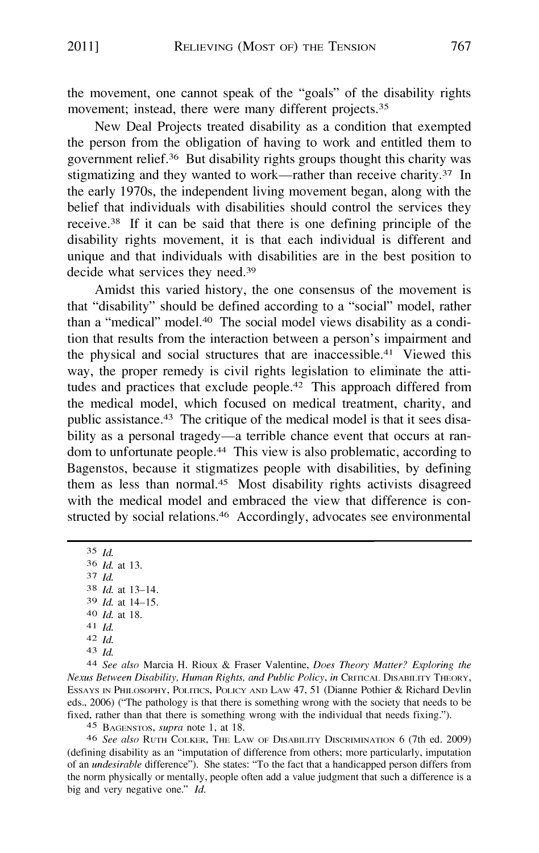the movement, one cannot speak of the "goals" of the disability rights movement; instead, there were many different [projects.](https://projects.35)<sup>35</sup>

New Deal Projects treated disability as a condition that exempted the person from the obligation of having to work and entitled them to government [relief.](https://relief.36)36 But disability rights groups thought this charity was stigmatizing and they wanted to work—rather than receive [charity.](https://charity.37)<sup>37</sup> In the early 1970s, the independent living movement began, along with the belief that individuals with disabilities should control the services they [receive.](https://receive.38)38 If it can be said that there is one defining principle of the disability rights movement, it is that each individual is different and unique and that individuals with disabilities are in the best position to decide what services they need.<sup>39</sup>

Amidst this varied history, the one consensus of the movement is that "disability" should be defined according to a "social" model, rather than a "medical" [model.](https://model.40)40 The social model views disability as a condition that results from the interaction between a person's impairment and the physical and social structures that are [inaccessible.](https://inaccessible.41)41 Viewed this way, the proper remedy is civil rights legislation to eliminate the attitudes and practices that exclude [people.](https://people.42)42 This approach differed from the medical model, which focused on medical treatment, charity, and public [assistance.](https://assistance.43)43 The critique of the medical model is that it sees disability as a personal tragedy—a terrible chance event that occurs at random to unfortunate [people.](https://people.44)44 This view is also problematic, according to Bagenstos, because it stigmatizes people with disabilities, by defining them as less than [normal.](https://normal.45)45 Most disability rights activists disagreed with the medical model and embraced the view that difference is constructed by social [relations.](https://relations.46)<sup>46</sup> Accordingly, advocates see environmental

35 *Id.*  36 *Id.* at 13. 37 *Id.*  38 *Id.* at 13-14. 39 *Id.* at 14-15. 40 *Id.* at 18. 41 *Id.*  42 *Id.*  43 *Id.* 

44 *See also* Marcia H. Rioux & Fraser Valentine, *Does Theory Matter? Exploring the Nexus Between Disability, Human Rights, and Public Policy, in* CRITICAL DISABILITY THEORY, ESSAYS IN PHILOSOPHY, POLITICS, POLICY AND LAW 47, 51 (Dianne Pothier & Richard Devlin eds., 2006) ("The pathology is that there is something wrong with the society that needs to be fixed, rather than that there is something wrong with the individual that needs fixing.").

45 BAGENSTOS, *supra* note l, at 18.

46 *See also* RuTH COLKER, THE LAw OF DISABILITY DISCRIMINATION 6 (7th ed. 2009) (defining disability as an "imputation of difference from others; more particularly, imputation of an *undesirable* difference"). She states: "To the fact that a handicapped person differs from the norm physically or mentally, people often add a value judgment that such a difference is a big and very negative one." *Id.*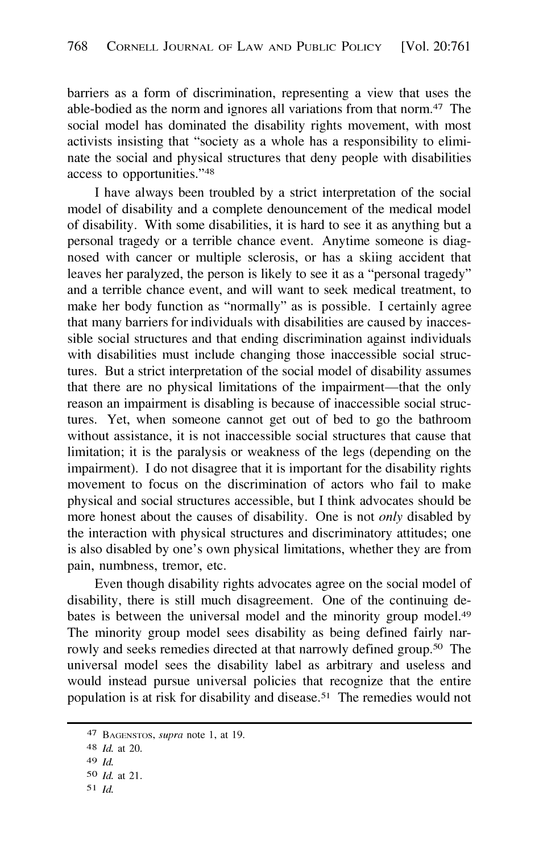barriers as a form of discrimination, representing a view that uses the able-bodied as the norm and ignores all variations from that norm.47 The social model has dominated the disability rights movement, with most activists insisting that "society as a whole has a responsibility to eliminate the social and physical structures that deny people with disabilities access to opportunities."48

I have always been troubled by a strict interpretation of the social model of disability and a complete denouncement of the medical model of disability. With some disabilities, it is hard to see it as anything but a personal tragedy or a terrible chance event. Anytime someone is diagnosed with cancer or multiple sclerosis, or has a skiing accident that leaves her paralyzed, the person is likely to see it as a "personal tragedy" and a terrible chance event, and will want to seek medical treatment, to make her body function as "normally" as is possible. I certainly agree that many barriers for individuals with disabilities are caused by inaccessible social structures and that ending discrimination against individuals with disabilities must include changing those inaccessible social structures. But a strict interpretation of the social model of disability assumes that there are no physical limitations of the impairment-that the only reason an impairment is disabling is because of inaccessible social structures. Yet, when someone cannot get out of bed to go the bathroom without assistance, it is not inaccessible social structures that cause that limitation; it is the paralysis or weakness of the legs (depending on the impairment). I do not disagree that it is important for the disability rights movement to focus on the discrimination of actors who fail to make physical and social structures accessible, but I think advocates should be more honest about the causes of disability. One is not *only* disabled by the interaction with physical structures and discriminatory attitudes; one is also disabled by one's own physical limitations, whether they are from pain, numbness, tremor, etc.

Even though disability rights advocates agree on the social model of disability, there is still much disagreement. One of the continuing debates is between the universal model and the minority group [model.](https://model.49)<sup>49</sup> The minority group model sees disability as being defined fairly narrowly and seeks remedies directed at that narrowly defined [group.](https://group.50)50 The universal model sees the disability label as arbitrary and useless and would instead pursue universal policies that recognize that the entire population is at risk for disability and [disease.](https://disease.51)51 The remedies would not

<sup>47</sup> BAGENSTOS, *supra* note 1, at 19.

<sup>48</sup> *Id.* at 20.

<sup>49</sup> *Id.* 

so *Id.* at 21.

s1 *Id.*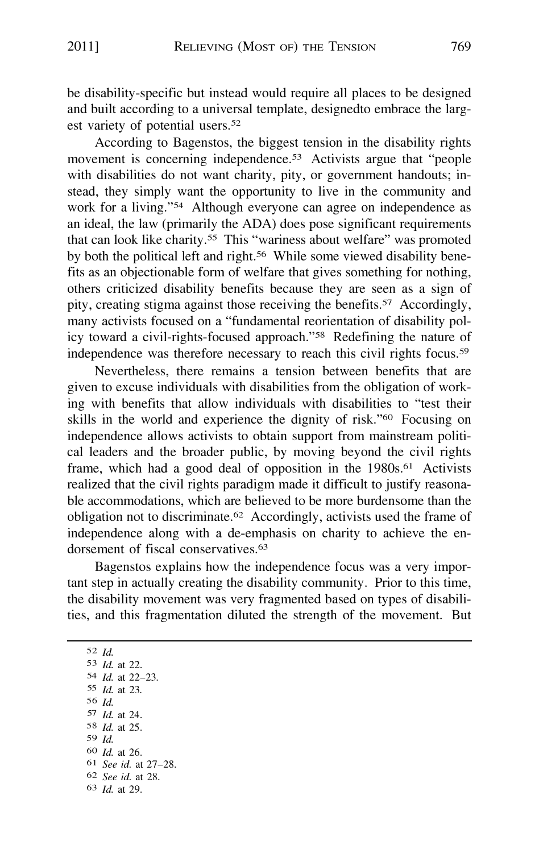be disability-specific but instead would require all places to be designed and built according to a universal template, designedto embrace the largest variety of potential users.52

According to Bagenstos, the biggest tension in the disability rights movement is concerning independence.<sup>53</sup> Activists argue that "people with disabilities do not want charity, pity, or government handouts; instead, they simply want the opportunity to live in the community and work for a living."54 Although everyone can agree on independence as an ideal, the law (primarily the ADA) does pose significant requirements that can look like charity. *55* This "wariness about welfare" was promoted by both the political left and [right.](https://right.56)<sup>56</sup> While some viewed disability benefits as an objectionable form of welfare that gives something for nothing, others criticized disability benefits because they are seen as a sign of pity, creating stigma against those receiving the [benefits.](https://benefits.57)57 Accordingly, many activists focused on a "fundamental reorientation of disability policy toward a civil-rights-focused approach."58 Redefining the nature of independence was therefore necessary to reach this civil rights [focus.](https://focus.59)59

Nevertheless, there remains a tension between benefits that are given to excuse individuals with disabilities from the obligation of working with benefits that allow individuals with disabilities to "test their skills in the world and experience the dignity of risk."<sup>60</sup> Focusing on independence allows activists to obtain support from mainstream political leaders and the broader public, by moving beyond the civil rights frame, which had a good deal of opposition in the [1980s.](https://1980s.61)<sup>61</sup> Activists realized that the civil rights paradigm made it difficult to justify reasonable accommodations, which are believed to be more burdensome than the obligation not to [discriminate.](https://discriminate.62)62 Accordingly, activists used the frame of independence along with a de-emphasis on charity to achieve the endorsement of fiscal [conservatives.](https://conservatives.63)<sup>63</sup>

Bagenstos explains how the independence focus was a very important step in actually creating the disability community. Prior to this time, the disability movement was very fragmented based on types of disabilities, and this fragmentation diluted the strength of the movement. But

52 *Id. Id.* at 22. *Id.* at 22-23. *Id.* at 23. 56 *Id. Id.* at 24. 8 *Id.* at 25. 59 *Id. Id.* at 26. *See id.* at 27-28. *See id.* at 28. *Id.* at 29.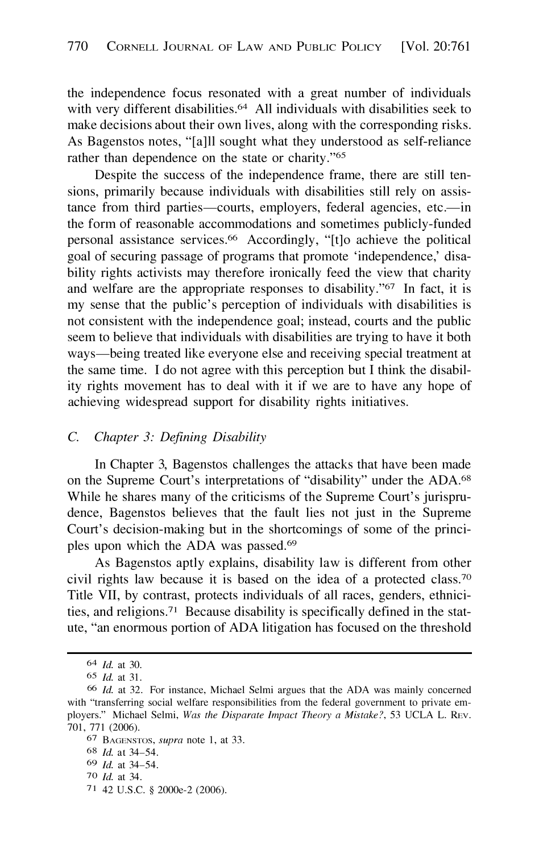<span id="page-9-0"></span>the independence focus resonated with a great number of individuals with very different [disabilities.](https://disabilities.64)<sup>64</sup> All individuals with disabilities seek to make decisions about their own lives, along with the corresponding risks. As Bagenstos notes, "[a]ll sought what they understood as self-reliance rather than dependence on the state or charity."<sup>65</sup>

Despite the success of the independence frame, there are still tensions, primarily because individuals with disabilities still rely on assistance from third parties-courts, employers, federal agencies, etc.-in the form of reasonable accommodations and sometimes publicly-funded personal assistance [services.](https://services.66)66 Accordingly, "[t]o achieve the political goal of securing passage of programs that promote 'independence,' disability rights activists may therefore ironically feed the view that charity and welfare are the appropriate responses to disability."67 In fact, it is my sense that the public's perception of individuals with disabilities is not consistent with the independence goal; instead, courts and the public seem to believe that individuals with disabilities are trying to have it both ways—being treated like everyone else and receiving special treatment at the same time. I do not agree with this perception but I think the disability rights movement has to deal with it if we are to have any hope of achieving widespread support for disability rights initiatives.

## C. *Chapter 3: Defining Disability*

In Chapter 3, Bagenstos challenges the attacks that have been made on the Supreme Court's interpretations of "disability" under the ADA.68 While he shares many of the criticisms of the Supreme Court's jurisprudence, Bagenstos believes that the fault lies not just in the Supreme Court's decision-making but in the shortcomings of some of the principles upon which the ADA was [passed.](https://passed.69)<sup>69</sup>

As Bagenstos aptly explains, disability law is different from other civil rights law because it is based on the idea of a protected class.<sup>70</sup> Title VII, by contrast, protects individuals of all races, genders, ethnicities, and [religions.](https://religions.71)71 Because disability is specifically defined in the statute, "an enormous portion of ADA litigation has focused on the threshold

71 42 U.S.C. § 2000e-2 (2006).

<sup>64</sup> *Id.* at 30.

<sup>65</sup> *Id.* at 31.

<sup>66</sup> *Id.* at 32. For instance, Michael Selmi argues that the ADA was mainly concerned with "transferring social welfare responsibilities from the federal government to private employers." Michael Selmi, *Was the Disparate Impact Theory a Mistake?,* 53 UCLA L. REv. 701, 771 (2006).

<sup>67</sup> BAGENSTOS, *supra* note 1, at 33.

<sup>68</sup> *Id.* at 34-54.

<sup>69</sup> *Id.* at 34-54.

<sup>70</sup> *Id.* at 34.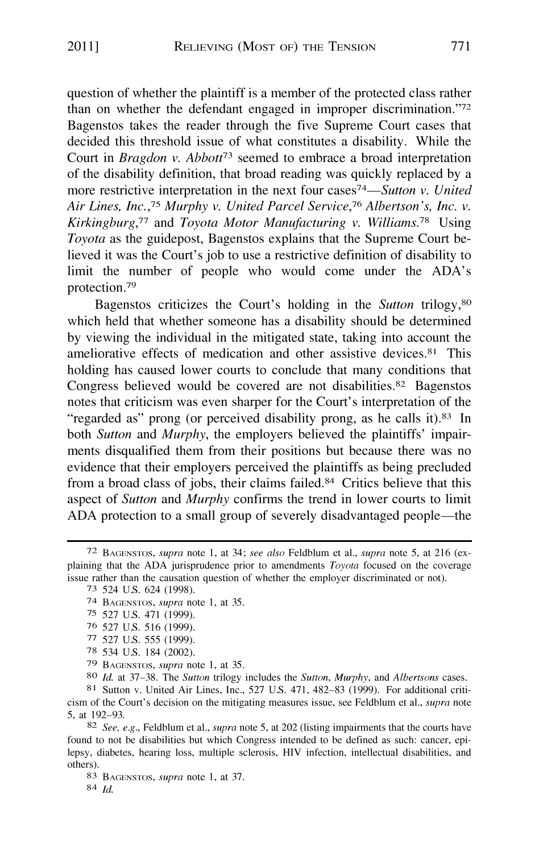question of whether the plaintiff is a member of the protected class rather than on whether the defendant engaged in improper discrimination."<sup>72</sup> Bagenstos takes the reader through the five Supreme Court cases that decided this threshold issue of what constitutes a disability. While the Court in *Bragdon v. Abbott73* seemed to embrace a broad interpretation of the disability definition, that broad reading was quickly replaced by a more restrictive interpretation in the next four *cases74-Sutton v. United Air Lines, Inc. , <sup>7</sup>5 Murphy v. United Parcel Service,<sup>7</sup>6 Albertson's, Inc. v. Kirkingburg,77* and *Toyota Motor Manufacturing v. [Williams.](https://Williams.78)7<sup>8</sup>*Using *Toyota* as the guidepost, Bagenstos explains that the Supreme Court believed it was the Court's job to use a restrictive definition of disability to limit the number of people who would come under the ADA's protection. <sup>79</sup>

Bagenstos criticizes the Court's holding in the *Sutton* trilogy,80 which held that whether someone has a disability should be determined by viewing the individual in the mitigated state, taking into account the ameliorative effects of medication and other assistive devices. 81 This holding has caused lower courts to conclude that many conditions that Congress believed would be covered are not [disabilities.](https://disabilities.82) 82 Bagenstos notes that criticism was even sharper for the Court's interpretation of the "regarded as" prong (or perceived disability prong, as he calls it).<sup>83</sup> In both *Sutton* and *Murphy,* the employers believed the plaintiffs' impairments disqualified them from their positions but because there was no evidence that their employers perceived the plaintiffs as being precluded from a broad class of jobs, their claims failed. 84 Critics believe that this aspect of *Sutton* and *Murphy* confirms the trend in lower courts to limit ADA protection to a small group of severely disadvantaged people—the

75 527 U.S. 471 (1999).

79 BAGENSTOS, *supra* note 1, at 35.

<sup>72</sup> BAGENSTOS, *supra* note 1, at 34; *see also* Feldblum et al., *supra* note 5, at 216 (explaining that the ADA jurisprudence prior to amendments *Toyota* focused on the coverage issue rather than the causation question of whether the employer discriminated or not).

<sup>73 524</sup> U.S. 624 (1998).

<sup>74</sup> BAGENSTOS, *supra* note 1, at 35.

<sup>76 527</sup> U.S. 516 (1999).

<sup>77 527</sup> U.S. 555 (1999).

<sup>78 534</sup> U.S. 184 (2002).

<sup>81</sup> Sutton v. United Air Lines, Inc., 527 U.S. 471, 482-83 (1999). For additional criticism of the Court's decision on the mitigating measures issue, see Feldblum et al., *supra* note 5, at 192-93.

<sup>82</sup> *See, e.g.,* Feldblum et al., *supra* note 5, at 202 (listing impairments that the courts have found to not be disabilities but which Congress intended to be defined as such: cancer, epilepsy, diabetes, hearing loss, multiple sclerosis, HIV infection, intellectual disabilities, and others).

<sup>83</sup> BAGENSTOS, *supra* note 1, at 37.

<sup>84</sup> *Id.*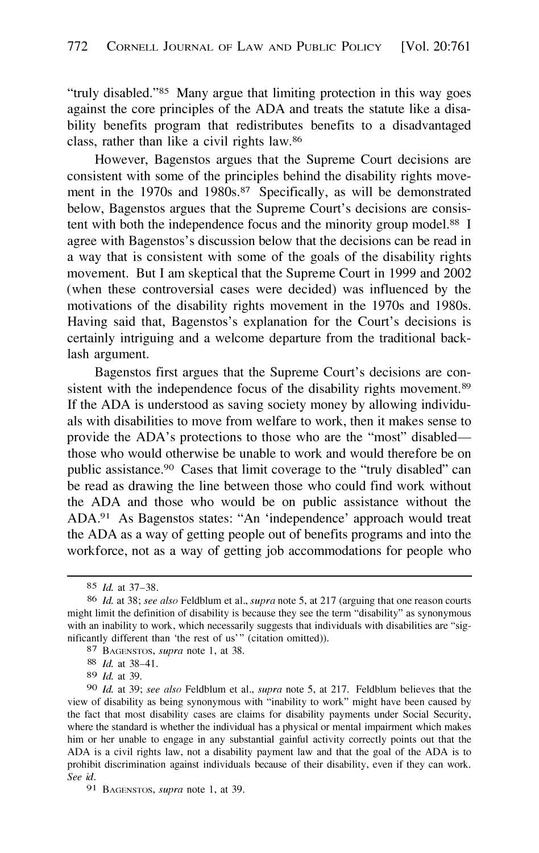"truly disabled."85 Many argue that limiting protection in this way goes against the core principles of the ADA and treats the statute like a disability benefits program that redistributes benefits to a disadvantaged class, rather than like a civil rights law. 86

However, Bagenstos argues that the Supreme Court decisions are consistent with some of the principles behind the disability rights move-ment in the 1970s and [1980s.](https://1980s.87)<sup>87</sup> Specifically, as will be demonstrated below, Bagenstos argues that the Supreme Court's decisions are consistent with both the independence focus and the minority group model.<sup>88</sup> I agree with Bagenstos's discussion below that the decisions can be read in a way that is consistent with some of the goals of the disability rights movement. But I am skeptical that the Supreme Court in 1999 and 2002 (when these controversial cases were decided) was influenced by the motivations of the disability rights movement in the 1970s and 1980s. Having said that, Bagenstos's explanation for the Court's decisions is certainly intriguing and a welcome departure from the traditional backlash argument.

Bagenstos first argues that the Supreme Court's decisions are consistent with the independence focus of the disability rights movement.<sup>89</sup> If the ADA is understood as saving society money by allowing individuals with disabilities to move from welfare to work, then it makes sense to provide the ADA's protections to those who are the "most" disabled those who would otherwise be unable to work and would therefore be on public assistance.9° Cases that limit coverage to the "truly disabled" can be read as drawing the line between those who could find work without the ADA and those who would be on public assistance without the ADA.91 As Bagenstos states: "An 'independence' approach would treat the ADA as a way of getting people out of benefits programs and into the workforce, not as a way of getting job accommodations for people who

<sup>85</sup> *Id.* at 37-38.

<sup>86</sup> *Id.* at 38; *see also* Feldblum et al., *supra* note 5, at 217 (arguing that one reason courts might limit the definition of disability is because they see the term "disability" as synonymous with an inability to work, which necessarily suggests that individuals with disabilities are "significantly different than 'the rest of us'" (citation omitted)).

<sup>87</sup> BAGENSTOS, *supra* note l, at 38.

<sup>88</sup> *Id.* at 38-41.

<sup>89</sup> *Id.* at 39.

<sup>90</sup> *Id.* at 39; *see also* Feldblum et al., *supra* note 5, at 217. Feldblum believes that the view of disability as being synonymous with "inability to work" might have been caused by the fact that most disability cases are claims for disability payments under Social Security, where the standard is whether the individual has a physical or mental impairment which makes him or her unable to engage in any substantial gainful activity correctly points out that the ADA is a civil rights law, not a disability payment law and that the goal of the ADA is to prohibit discrimination against individuals because of their disability, even if they can work. *See id.* 

<sup>91</sup> BAGENSTOS, *supra* note 1, at 39.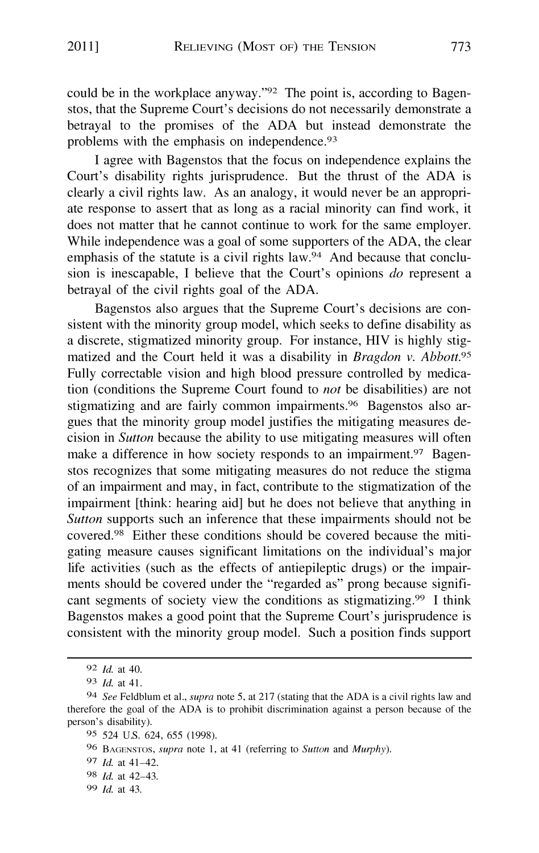could be in the workplace anyway."92 The point is, according to Bagenstos, that the Supreme Court's decisions do not necessarily demonstrate a betrayal to the promises of the ADA but instead demonstrate the problems with the emphasis on [independence.](https://independence.93)<sup>93</sup>

I agree with Bagenstos that the focus on independence explains the Court's disability rights jurisprudence. But the thrust of the ADA is clearly a civil rights law. As an analogy, it would never be an appropriate response to assert that as long as a racial minority can find work, it does not matter that he cannot continue to work for the same employer. While independence was a goal of some supporters of the ADA, the clear emphasis of the statute is a civil rights law.<sup>94</sup> And because that conclusion is inescapable, I believe that the Court's opinions *do* represent a betrayal of the civil rights goal of the ADA.

Bagenstos also argues that the Supreme Court's decisions are consistent with the minority group model, which seeks to define disability as a discrete, stigmatized minority group. For instance, HIV is highly stigmatized and the Court held it was a disability in *Bragdon v. [Abbott.](https://Abbott.95)<sup>95</sup>* Fully correctable vision and high blood pressure controlled by medication (conditions the Supreme Court found to *not* be disabilities) are not stigmatizing and are fairly common [impairments.](https://impairments.96)<sup>96</sup> Bagenstos also argues that the minority group model justifies the mitigating measures decision in *Sutton* because the ability to use mitigating measures will often make a difference in how society responds to an [impairment.](https://impairment.97)<sup>97</sup> Bagenstos recognizes that some mitigating measures do not reduce the stigma of an impairment and may, in fact, contribute to the stigmatization of the impairment [think: hearing aid] but he does not believe that anything in *Sutton* supports such an inference that these impairments should not be [covered.](https://covered.98)98 Either these conditions should be covered because the mitigating measure causes significant limitations on the individual's major life activities (such as the effects of antiepileptic drugs) or the impairments should be covered under the "regarded as" prong because significant segments of society view the conditions as [stigmatizing.](https://stigmatizing.99)<sup>99</sup> I think Bagenstos makes a good point that the Supreme Court's jurisprudence is consistent with the minority group model. Such a position finds support

<sup>92</sup> *Id.* at 40.

<sup>93</sup> *Id.* at 41.

<sup>94</sup> *See* Feldblum et al., *supra* note 5, at 217 (stating that the ADA is a civil rights law and therefore the goal of the ADA is to prohibit discrimination against a person because of the person's disability).

<sup>95 524</sup> U.S. 624, 655 (1998).

<sup>96</sup> BAGENSTOS, *supra* note 1, at 41 (referring to *Sutton* and *Murphy).* 

<sup>97</sup> *Id.* at 41-42.

<sup>98</sup> *Id.* at 42-43.

<sup>99</sup> *Id.* at 43.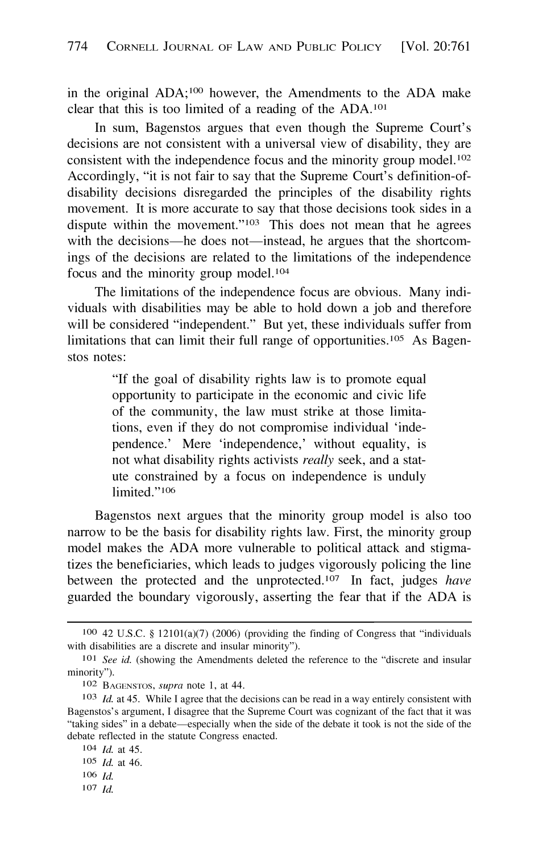in the original ADA;<sup>100</sup> however, the Amendments to the ADA make clear that this is too limited of a reading of the ADA.**<sup>101</sup>**

In sum, Bagenstos argues that even though the Supreme Court's decisions are not consistent with a universal view of disability, they are consistent with the independence focus and the minority group model.**<sup>102</sup>** Accordingly, "it is not fair to say that the Supreme Court's definition-ofdisability decisions disregarded the principles of the disability rights movement. It is more accurate to say that those decisions took sides in a dispute within the movement."**<sup>103</sup>**This does not mean that he agrees with the decisions-he does not-instead, he argues that the shortcomings of the decisions are related to the limitations of the independence focus and the minority group model.**<sup>104</sup>**

The limitations of the independence focus are obvious. Many individuals with disabilities may be able to hold down a job and therefore will be considered "independent." But yet, these individuals suffer from limitations that can limit their full range of opportunities.<sup>105</sup> As Bagenstos notes:

> "If the goal of disability rights law is to promote equal opportunity to participate in the economic and civic life of the community, the law must strike at those limitations, even if they do not compromise individual 'independence.' Mere 'independence,' without equality, is not what disability rights activists *really* seek, and a statute constrained by a focus on independence is unduly limited."**<sup>106</sup>**

Bagenstos next argues that the minority group model is also too narrow to be the basis for disability rights law. First, the minority group model makes the ADA more vulnerable to political attack and stigmatizes the beneficiaries, which leads to judges vigorously policing the line between the protected and the unprotected.**<sup>107</sup>**In fact, judges *have*  guarded the boundary vigorously, asserting the fear that if the ADA is

**<sup>100</sup>**42 U.S.C. § 12101(a)(7) (2006) (providing the finding of Congress that "individuals with disabilities are a discrete and insular minority").

**<sup>101</sup>***See id.* (showing the Amendments deleted the reference to the "discrete and insular minority").

**<sup>102</sup>**BAGENSTOS, *supra* note 1, at 44.

**<sup>103</sup>***Id.* at 45. While I agree that the decisions can be read in a way entirely consistent with Bagenstos's argument, I disagree that the Supreme Court was cognizant of the fact that it was "taking sides" in a debate-especially when the side of the debate it took is not the side of the debate reflected in the statute Congress enacted.

**<sup>104</sup>***Id.* at 45.

**<sup>105</sup>***Id.* at 46.

**<sup>106</sup>***Id.* 

**<sup>107</sup>***Id.*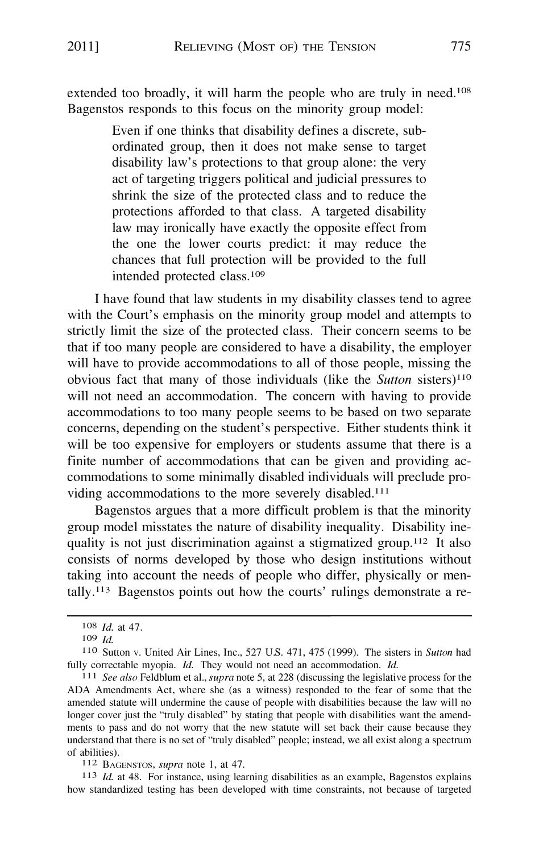extended too broadly, it will harm the people who are truly in need.**<sup>108</sup>** Bagenstos responds to this focus on the minority group model:

> Even if one thinks that disability defines a discrete, subordinated group, then it does not make sense to target disability law's protections to that group alone: the very act of targeting triggers political and judicial pressures to shrink the size of the protected class and to reduce the protections afforded to that class. A targeted disability law may ironically have exactly the opposite effect from the one the lower courts predict: it may reduce the chances that full protection will be provided to the full intended protected class.**<sup>109</sup>**

I have found that law students in my disability classes tend to agree with the Court's emphasis on the minority group model and attempts to strictly limit the size of the protected class. Their concern seems to be that if too many people are considered to have a disability, the employer will have to provide accommodations to all of those people, missing the obvious fact that many of those individuals (like the *Sutton* sisters)**<sup>110</sup>** will not need an accommodation. The concern with having to provide accommodations to too many people seems to be based on two separate concerns, depending on the student's perspective. Either students think it will be too expensive for employers or students assume that there is a finite number of accommodations that can be given and providing accommodations to some minimally disabled individuals will preclude providing accommodations to the more severely disabled. **<sup>111</sup>**

Bagenstos argues that a more difficult problem is that the minority group model misstates the nature of disability inequality. Disability inequality is not just discrimination against a stigmatized group.**<sup>112</sup>**It also consists of norms developed by those who design institutions without taking into account the needs of people who differ, physically or mentally.<sup>113</sup> Bagenstos points out how the courts' rulings demonstrate a re-

**<sup>112</sup>**BAGENSTOS, *supra* note 1, at 47.

**<sup>113</sup>***Id.* at 48. For instance, using learning disabilities as an example, Bagenstos explains how standardized testing has been developed with time constraints, not because of targeted

**<sup>108</sup>***Id.* at 47.

**<sup>109</sup>** *Id.* 

**l lO** Sutton v. United Air Lines, Inc., 527 U.S. 471, 475 (1999). The sisters in *Sutton* had fully correctable myopia. *Id.* They would not need an accommodation. *Id.* 

**<sup>111</sup>***See also* Feldblum et al., *supra* note 5, at 228 (discussing the legislative process for the ADA Amendments Act, where she (as a witness) responded to the fear of some that the amended statute will undermine the cause of people with disabilities because the law will no longer cover just the "truly disabled" by stating that people with disabilities want the amendments to pass and do not worry that the new statute will set back their cause because they understand that there is no set of "truly disabled" people; instead, we all exist along a spectrum of abilities).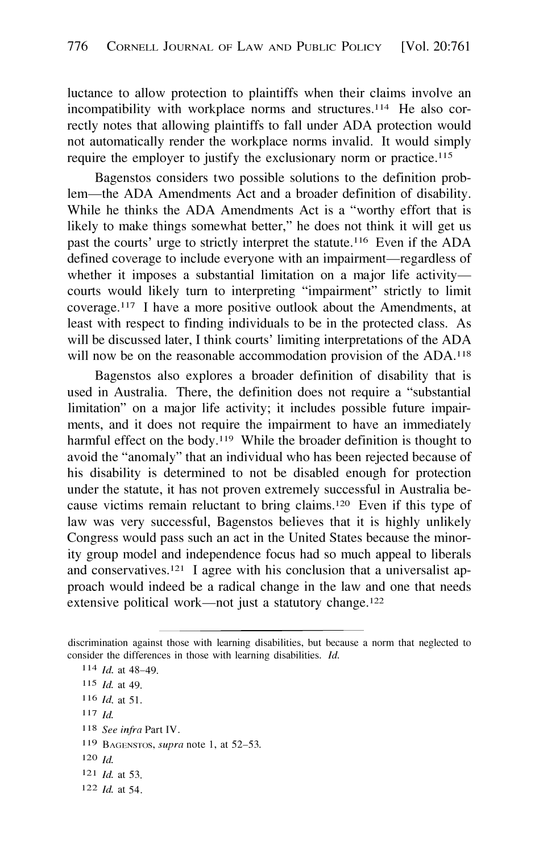luctance to allow protection to plaintiffs when their claims involve an incompatibility with workplace norms and structures.<sup>114</sup> He also correctly notes that allowing plaintiffs to fall under ADA protection would not automatically render the workplace norms invalid. It would simply require the employer to justify the exclusionary norm or practice.**<sup>115</sup>**

Bagenstos considers two possible solutions to the definition problem-the ADA Amendments Act and a broader definition of disability. While he thinks the ADA Amendments Act is a "worthy effort that is likely to make things somewhat better," he does not think it will get us past the courts' urge to strictly interpret the statute.<sup>116</sup> Even if the ADA defined coverage to include everyone with an impairment-regardless of whether it imposes a substantial limitation on a major life activitycourts would likely turn to interpreting "impairment" strictly to limit coverage.**<sup>117</sup>**I have a more positive outlook about the Amendments, at least with respect to finding individuals to be in the protected class. As will be discussed later, I think courts' limiting interpretations of the ADA will now be on the reasonable accommodation provision of the ADA.**<sup>118</sup>**

Bagenstos also explores a broader definition of disability that is used in Australia. There, the definition does not require a "substantial limitation" on a major life activity; it includes possible future impairments, and it does not require the impairment to have an immediately harmful effect on the body.<sup>119</sup> While the broader definition is thought to avoid the "anomaly" that an individual who has been rejected because of his disability is determined to not be disabled enough for protection under the statute, it has not proven extremely successful in Australia because victims remain reluctant to bring claims.<sup>120</sup> Even if this type of law was very successful, Bagenstos believes that it is highly unlikely Congress would pass such an act in the United States because the minority group model and independence focus had so much appeal to liberals and conservatives.<sup>121</sup> I agree with his conclusion that a universalist approach would indeed be a radical change in the law and one that needs extensive political work-not just a statutory change.<sup>122</sup>

**117** *Id.* 

- **119 BAGENSTOS,** *supra* note 1, at 52-53.
- **<sup>120</sup>***Id.*
- **<sup>121</sup>***Id.* at 53.
- **<sup>122</sup>***Id.* at 54.

discrimination against those with learning disabilities, but because a norm that neglected to consider the differences in those with learning disabilities. *Id.* 

**<sup>114</sup>***Id.* at 48-49.

**<sup>115</sup>***Id.* at 49.

**<sup>116</sup>***Id.* at 51.

**<sup>118</sup>***See infra* Part IV.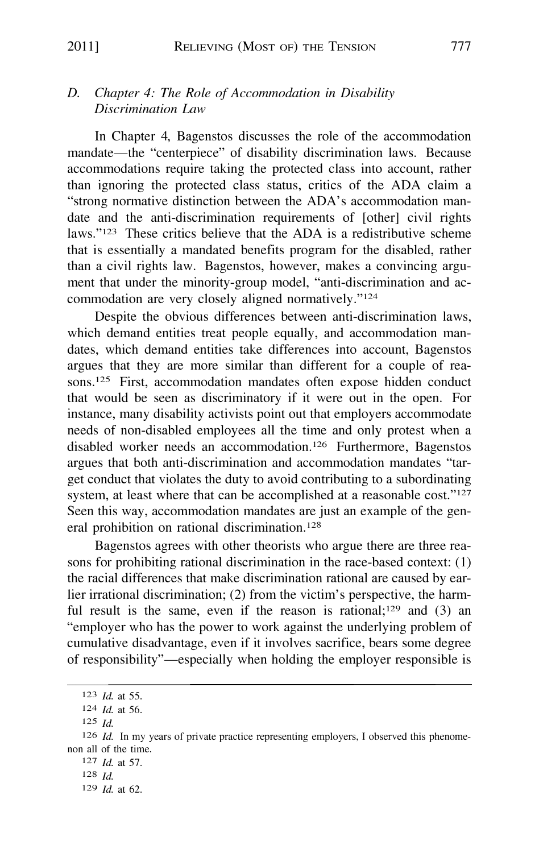#### *D. Chapter 4: The Role of Accommodation in Disability Discrimination Law*

In Chapter 4, Bagenstos discusses the role of the accommodation mandate—the "centerpiece" of disability discrimination laws. Because accommodations require taking the protected class into account, rather than ignoring the protected class status, critics of the ADA claim a "strong normative distinction between the ADA's accommodation mandate and the anti-discrimination requirements of [other] civil rights laws."123 These critics believe that the ADA is a redistributive scheme that is essentially a mandated benefits program for the disabled, rather than a civil rights law. Bagenstos, however, makes a convincing argument that under the minority-group model, "anti-discrimination and accommodation are very closely aligned normatively."124

Despite the obvious differences between anti-discrimination laws, which demand entities treat people equally, and accommodation mandates, which demand entities take differences into account, Bagenstos argues that they are more similar than different for a couple of reasons.<sup>125</sup> First, accommodation mandates often expose hidden conduct that would be seen as discriminatory if it were out in the open. For instance, many disability activists point out that employers accommodate needs of non-disabled employees all the time and only protest when a disabled worker needs an accommodation. <sup>12</sup>6 Furthermore, Bagenstos argues that both anti-discrimination and accommodation mandates "target conduct that violates the duty to avoid contributing to a subordinating system, at least where that can be accomplished at a reasonable cost."<sup>127</sup> Seen this way, accommodation mandates are just an example of the general prohibition on rational discrimination.<sup>128</sup>

Bagenstos agrees with other theorists who argue there are three reasons for prohibiting rational discrimination in the race-based context: (1) the racial differences that make discrimination rational are caused by earlier irrational discrimination; (2) from the victim's perspective, the harmful result is the same, even if the reason is rational;  $129$  and (3) an "employer who has the power to work against the underlying problem of cumulative disadvantage, even if it involves sacrifice, bears some degree of responsibility"-especially when holding the employer responsible is

<sup>1</sup>24 *Id.* at 56.

<sup>1</sup>23 *Id.* at 55.

<sup>1</sup>25 *Id.* 

<sup>1</sup>26 *Id.* In my years of private practice representing employers, I observed this phenomenon all of the time.

<sup>1</sup>27 *Id.* at 57.

<sup>1</sup>2s *Id.* 

<sup>1</sup>29 *Id.* at 62.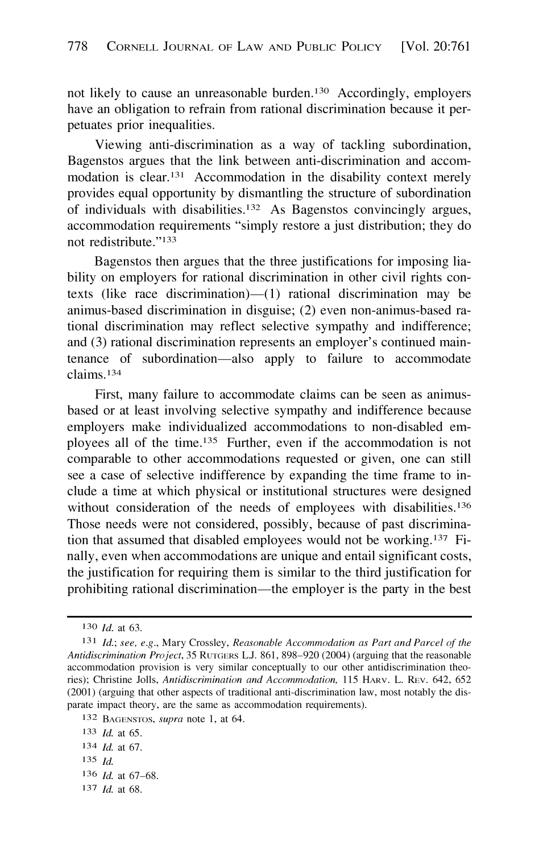not likely to cause an unreasonable burden.<sup>130</sup> Accordingly, employers have an obligation to refrain from rational discrimination because it perpetuates prior inequalities.

Viewing anti-discrimination as a way of tackling subordination, Bagenstos argues that the link between anti-discrimination and accommodation is [clear.](https://clear.13)<sup>131</sup> Accommodation in the disability context merely provides equal opportunity by dismantling the structure of subordination of individuals with disabilities.<sup>132</sup> As Bagenstos convincingly argues, accommodation requirements "simply restore a just distribution; they do not redistribute."133

Bagenstos then argues that the three justifications for imposing liability on employers for rational discrimination in other civil rights contexts (like race discrimination) $-(1)$  rational discrimination may be animus-based discrimination in disguise; (2) even non-animus-based rational discrimination may reflect selective sympathy and indifference; and (3) rational discrimination represents an employer's continued maintenance of subordination-also apply to failure to accommodate claims. <sup>134</sup>

First, many failure to accommodate claims can be seen as animusbased or at least involving selective sympathy and indifference because employers make individualized accommodations to non-disabled employees all of the time.<sup>135</sup> Further, even if the accommodation is not comparable to other accommodations requested or given, one can still see a case of selective indifference by expanding the time frame to include a time at which physical or institutional structures were designed without consideration of the needs of employees with disabilities.<sup>136</sup> Those needs were not considered, possibly, because of past discrimination that assumed that disabled employees would not be working.<sup>137</sup> Finally, even when accommodations are unique and entail significant costs, the justification for requiring them is similar to the third justification for prohibiting rational discrimination—the employer is the party in the best

137 *Id.* at 68.

<sup>130</sup> *Id.* at 63.

l 3l *Id.; see, e.g.,* Mary Crossley, *Reasonable Accommodation as Part and Parcel of the Antidiscrimination Project,* 35 RUTGERS L.J. 861, 898-920 (2004) (arguing that the reasonable accommodation provision is very similar conceptually to our other antidiscrimination theories); Christine Jolls, *Antidiscrimination and Accommodation,* 115 HARv. L. REv. 642, 652 (2001) (arguing that other aspects of traditional anti-discrimination law, most notably the disparate impact theory, are the same as accommodation requirements).

<sup>132</sup> BAGENSTOS, *supra* note 1, at 64.

<sup>133</sup> *Id.* at 65.

<sup>134</sup> *Id.* at 67.

<sup>135</sup> *Id.* 

<sup>136</sup> *Id.* at 67-68.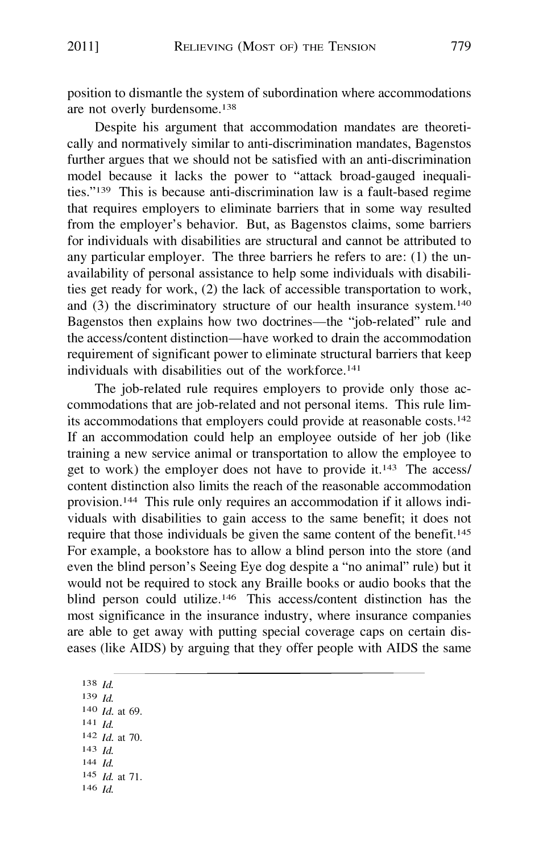position to dismantle the system of subordination where accommodations are not overly burdensome.**<sup>138</sup>**

Despite his argument that accommodation mandates are theoretically and normatively similar to anti-discrimination mandates, Bagenstos further argues that we should not be satisfied with an anti-discrimination model because it lacks the power to "attack broad-gauged inequalities."139 This is because anti-discrimination law is a fault-based regime that requires employers to eliminate barriers that in some way resulted from the employer's behavior. But, as Bagenstos claims, some barriers for individuals with disabilities are structural and cannot be attributed to any particular employer. The three barriers he refers to are: (1) the unavailability of personal assistance to help some individuals with disabilities get ready for work, (2) the lack of accessible transportation to work, and (3) the discriminatory structure of our health insurance system.**<sup>140</sup>** Bagenstos then explains how two doctrines-the "job-related" rule and the access/content distinction-have worked to drain the accommodation requirement of significant power to eliminate structural barriers that keep individuals with disabilities out of the workforce.**<sup>141</sup>**

The job-related rule requires employers to provide only those accommodations that are job-related and not personal items. This rule limits accommodations that employers could provide at reasonable costs.**<sup>142</sup>** If an accommodation could help an employee outside of her job (like training a new service animal or transportation to allow the employee to get to work) the employer does not have to provide it.**<sup>143</sup>**The access/ content distinction also limits the reach of the reasonable accommodation provision.**<sup>144</sup>**This rule only requires an accommodation if it allows individuals with disabilities to gain access to the same benefit; it does not require that those individuals be given the same content of the benefit.**<sup>145</sup>** For example, a bookstore has to allow a blind person into the store (and even the blind person's Seeing Eye dog despite a "no animal" rule) but it would not be required to stock any Braille books or audio books that the blind person could utilize.<sup>146</sup> This access/content distinction has the most significance in the insurance industry, where insurance companies are able to get away with putting special coverage caps on certain diseases (like AIDS) by arguing that they offer people with AIDS the same

**<sup>138</sup>***Id.*  **139** *Id.*  **<sup>140</sup>***Id.* **at 69. <sup>141</sup>***Id.*  **<sup>142</sup>***Id.* **at 70. <sup>143</sup>***Id.*  **<sup>144</sup>***Id.*  145 *Id.* at 71. **<sup>146</sup>***Id.*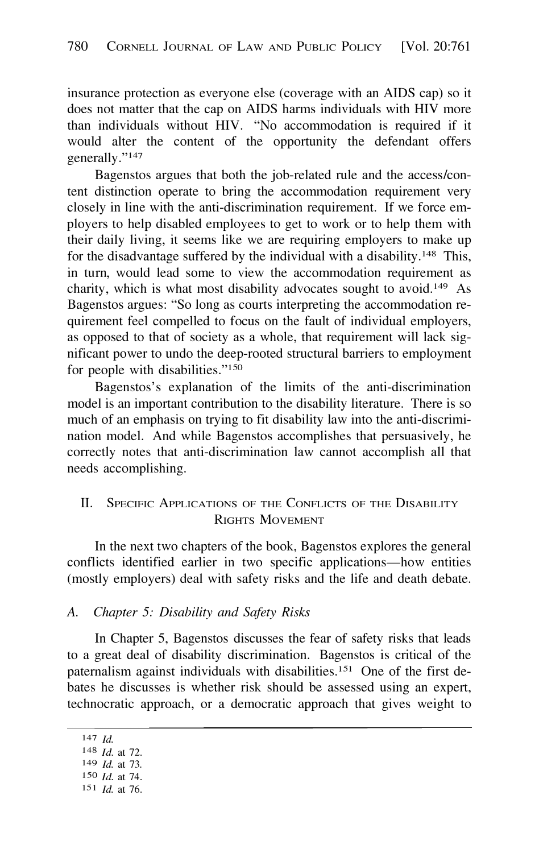<span id="page-19-0"></span>insurance protection as everyone else ( coverage with an AIDS cap) so it does not matter that the cap on AIDS harms individuals with HIV more than individuals without HIV. "No accommodation is required if it would alter the content of the opportunity the defendant offers generally."**<sup>147</sup>**

Bagenstos argues that both the job-related rule and the access/content distinction operate to bring the accommodation requirement very closely in line with the anti-discrimination requirement. If we force employers to help disabled employees to get to work or to help them with their daily living, it seems like we are requiring employers to make up for the disadvantage suffered by the individual with a disability . **<sup>148</sup>**This, in tum, would lead some to view the accommodation requirement as charity, which is what most disability advocates sought to avoid.**<sup>149</sup>**As Bagenstos argues: "So long as courts interpreting the accommodation requirement feel compelled to focus on the fault of individual employers, as opposed to that of society as a whole, that requirement will lack significant power to undo the deep-rooted structural barriers to employment for people with disabilities."**<sup>150</sup>**

Bagenstos's explanation of the limits of the anti-discrimination model is an important contribution to the disability literature. There is so much of an emphasis on trying to fit disability law into the anti-discrimination model. And while Bagenstos accomplishes that persuasively, he correctly notes that anti-discrimination law cannot accomplish all that needs accomplishing.

## II. SPECIFIC APPLICATIONS OF THE CONFLICTS OF THE DISABILITY RIGHTS MOVEMENT

In the next two chapters of the book, Bagenstos explores the general conflicts identified earlier in two specific applications-how entities (mostly employers) deal with safety risks and the life and death debate.

#### *A. Chapter 5: Disability and Safety Risks*

In Chapter 5, Bagenstos discusses the fear of safety risks that leads to a great deal of disability discrimination. Bagenstos is critical of the paternalism against individuals with disabilities.<sup>151</sup> One of the first debates he discusses is whether risk should be assessed using an expert, technocratic approach, or a democratic approach that gives weight to

**<sup>147</sup>** *Id.* 

**<sup>148</sup>***Id.* at 72.

**<sup>149</sup>** *Id.* at 73.

**<sup>150</sup>***Id.* at 74.

**<sup>151</sup>***Id.* at 76.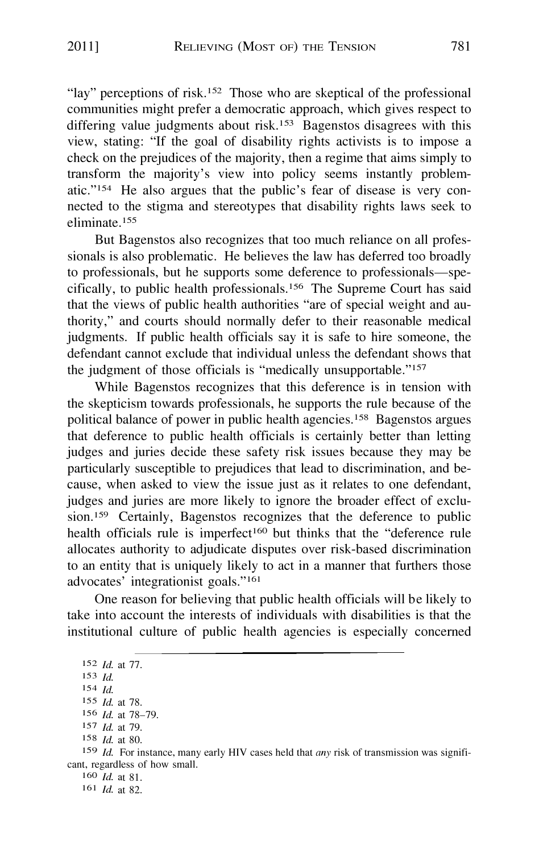"lay" perceptions of risk.<sup>152</sup> Those who are skeptical of the professional communities might prefer a democratic approach, which gives respect to differing value judgments about risk.<sup>153</sup> Bagenstos disagrees with this view, stating: "If the goal of disability rights activists is to impose a check on the prejudices of the majority, then a regime that aims simply to transform the majority's view into policy seems instantly problematic."154 He also argues that the public's fear of disease is very connected to the stigma and stereotypes that disability rights laws seek to eliminate. <sup>1</sup>55

But Bagenstos also recognizes that too much reliance on all professionals is also problematic. He believes the law has deferred too broadly to professionals, but he supports some deference to professionals—specifically, to public health professionals. <sup>1</sup>56 The Supreme Court has said that the views of public health authorities "are of special weight and authority," and courts should normally defer to their reasonable medical judgments. If public health officials say it is safe to hire someone, the defendant cannot exclude that individual unless the defendant shows that the judgment of those officials is "medically unsupportable."157

While Bagenstos recognizes that this deference is in tension with the skepticism towards professionals, he supports the rule because of the political balance of power in public health agencies. <sup>1</sup>58 Bagenstos argues that deference to public health officials is certainly better than letting judges and juries decide these safety risk issues because they may be particularly susceptible to prejudices that lead to discrimination, and because, when asked to view the issue just as it relates to one defendant, judges and juries are more likely to ignore the broader effect of exclusion.159 Certainly, Bagenstos recognizes that the deference to public health officials rule is imperfect<sup>160</sup> but thinks that the "deference rule allocates authority to adjudicate disputes over risk-based discrimination to an entity that is uniquely likely to act in a manner that furthers those advocates' integrationist goals."<sup>161</sup>

One reason for believing that public health officials will be likely to take into account the interests of individuals with disabilities is that the institutional culture of public health agencies is especially concerned

1 60 *Id.* at 81.

<sup>1</sup>52 *Id.* at 77.

<sup>1</sup>53 *Id.* 

<sup>1</sup>54 *Id.* 

<sup>1</sup>55 *Id.* at 78.

<sup>1</sup>5<sup>6</sup>*Id.* at 78-79. <sup>1</sup>57 *Id.* at 79.

<sup>1</sup>58 *Id.* at 80.

<sup>1</sup>59 *Id.* For instance, many early HIV cases held that *any* risk of transmission was significant, regardless of how small.

<sup>161</sup> *Id.* at 82.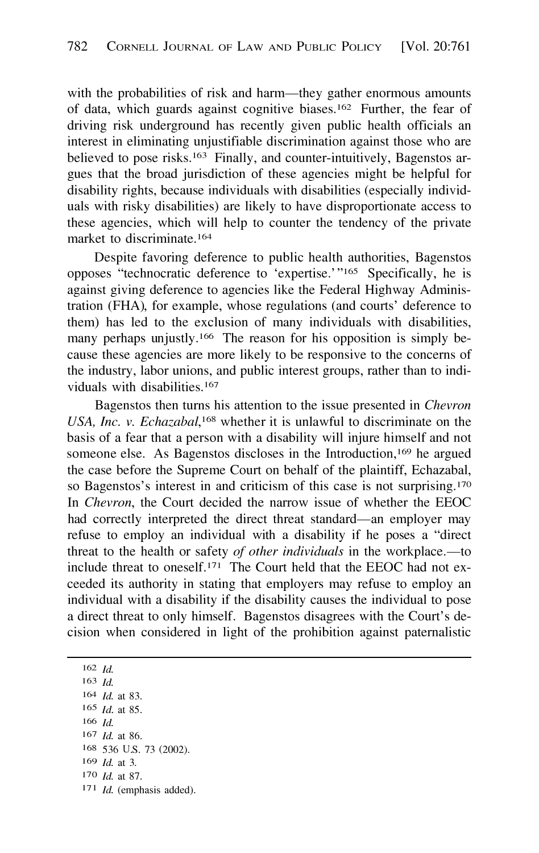with the probabilities of risk and harm—they gather enormous amounts of data, which guards against cognitive biases.<sup>162</sup> Further, the fear of driving risk underground has recently given public health officials an interest in eliminating unjustifiable discrimination against those who are believed to pose risks.<sup>163</sup> Finally, and counter-intuitively, Bagenstos argues that the broad jurisdiction of these agencies might be helpful for disability rights, because individuals with disabilities (especially individuals with risky disabilities) are likely to have disproportionate access to these agencies, which will help to counter the tendency of the private market to discriminate.**<sup>164</sup>**

Despite favoring deference to public health authorities, Bagenstos opposes "technocratic deference to 'expertise.'"<sup>165</sup> Specifically, he is against giving deference to agencies like the Federal Highway Administration (FHA), for example, whose regulations (and courts' deference to them) has led to the exclusion of many individuals with disabilities, many perhaps unjustly.<sup>166</sup> The reason for his opposition is simply because these agencies are more likely to be responsive to the concerns of the industry, labor unions, and public interest groups, rather than to individuals with disabilities.**<sup>167</sup>**

Bagenstos then turns his attention to the issue presented in *Chevron*  USA, *Inc. v. Echazabal*,<sup>168</sup> whether it is unlawful to discriminate on the basis of a fear that a person with a disability will injure himself and not someone else. As Bagenstos discloses in the Introduction, **<sup>169</sup>**he argued the case before the Supreme Court on behalf of the plaintiff, Echazabal, so Bagenstos's interest in and criticism of this case is not surprising.<sup>170</sup> In *Chevron,* the Court decided the narrow issue of whether the EEOC had correctly interpreted the direct threat standard—an employer may refuse to employ an individual with a disability if he poses a "direct threat to the health or safety *of other individuals* in the workplace.—to include threat to oneself.<sup>171</sup> The Court held that the EEOC had not exceeded its authority in stating that employers may refuse to employ an individual with a disability if the disability causes the individual to pose a direct threat to only himself. Bagenstos disagrees with the Court's decision when considered in light of the prohibition against paternalistic

536 U.S. 73 (2002). **<sup>162</sup>***Id.*  **<sup>163</sup>***Id. Id.* at 83. *Id.* at 85. **<sup>166</sup>***Id. Id.* at 86. *Id.* at 3. *Id.* at 87. *Id.* (emphasis added).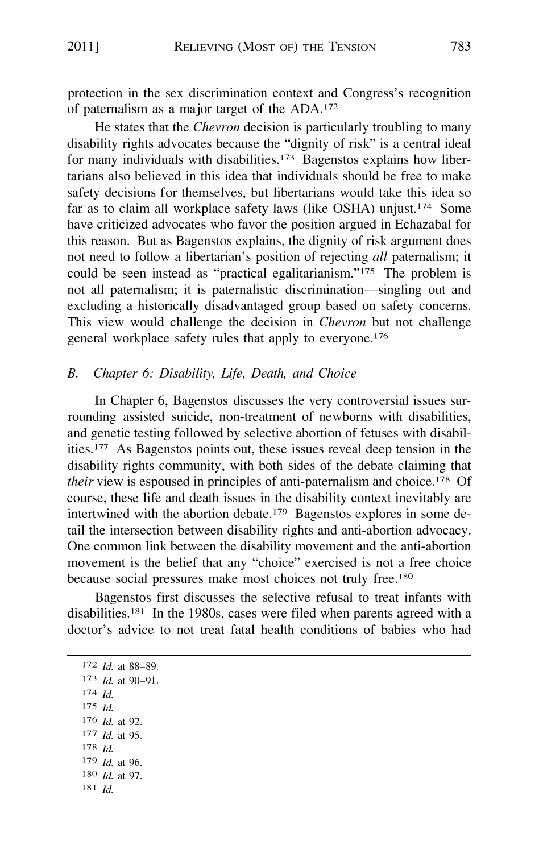protection in the sex discrimination context and Congress's recognition of paternalism as a major target of the ADA.172

He states that the *Chevron* decision is particularly troubling to many disability rights advocates because the "dignity of risk" is a central ideal for many individuals with disabilities.<sup>173</sup> Bagenstos explains how libertarians also believed in this idea that individuals should be free to make safety decisions for themselves, but libertarians would take this idea so far as to claim all workplace safety laws (like OSHA) unjust.<sup>174</sup> Some have criticized advocates who favor the position argued in Echazabal for this reason. But as Bagenstos explains, the dignity of risk argument does not need to follow a libertarian's position of rejecting *all* paternalism; it could be seen instead as "practical egalitarianism."175 The problem is not all paternalism; it is paternalistic discrimination-singling out and excluding a historically disadvantaged group based on safety concerns. This view would challenge the decision in *Chevron* but not challenge general workplace safety rules that apply to everyone.176

#### *B. Chapter 6: Disability, Life, Death, and Choice*

In Chapter 6, Bagenstos discusses the very controversial issues surrounding assisted suicide, non-treatment of newborns with disabilities, and genetic testing followed by selective abortion of fetuses with disabilities.177 As Bagenstos points out, these issues reveal deep tension in the disability rights community, with both sides of the debate claiming that *their* view is espoused in principles of anti-paternalism and choice.<sup>178</sup> Of course, these life and death issues in the disability context inevitably are intertwined with the abortion debate. 179 Bagenstos explores in some detail the intersection between disability rights and anti-abortion advocacy. One common link between the disability movement and the anti-abortion movement is the belief that any "choice" exercised is not a free choice because social pressures make most choices not truly free.180

Bagenstos first discusses the selective refusal to treat infants with disabilities.181 In the 1980s, cases were filed when parents agreed with a doctor's advice to not treat fatal health conditions of babies who had

**172** *Id.* at 88-89. <sup>l</sup>73 *Id.* at 90-91. 174 *Id.*  175 *Id.*  176 *Id.* at 92. <sup>177</sup>*Id.* at 95. 178 *Id.*  179 *Id.* at 96. 180 *Id.* at 97. 181 *Id.*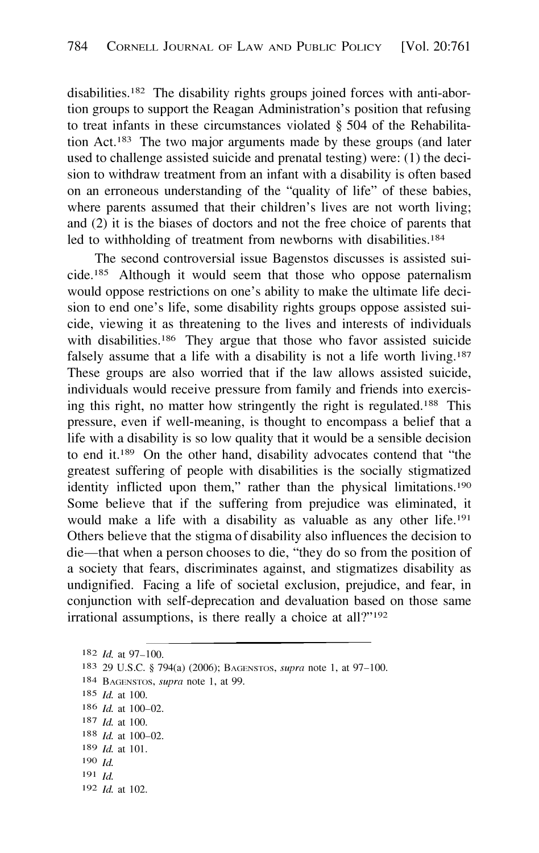disabilities. <sup>1</sup>82 The disability rights groups joined forces with anti-abortion groups to support the Reagan Administration's position that refusing to treat infants in these circumstances violated § 504 of the Rehabilitation Act. <sup>1</sup>83 The two major arguments made by these groups (and later used to challenge assisted suicide and prenatal testing) were: (1) the decision to withdraw treatment from an infant with a disability is often based on an erroneous understanding of the "quality of life" of these babies, where parents assumed that their children's lives are not worth living; and (2) it is the biases of doctors and not the free choice of parents that led to withholding of treatment from newborns with disabilities.<sup>184</sup>

The second controversial issue Bagenstos discusses is assisted suicide. <sup>1</sup>85 Although it would seem that those who oppose paternalism would oppose restrictions on one's ability to make the ultimate life decision to end one's life, some disability rights groups oppose assisted suicide, viewing it as threatening to the lives and interests of individuals with disabilities.<sup>186</sup> They argue that those who favor assisted suicide falsely assume that a life with a disability is not a life worth living.<sup>187</sup> These groups are also worried that if the law allows assisted suicide, individuals would receive pressure from family and friends into exercising this right, no matter how stringently the right is regulated. <sup>1</sup>88 This pressure, even if well-meaning, is thought to encompass a belief that a life with a disability is so low quality that it would be a sensible decision to end it. <sup>1</sup>89 On the other hand, disability advocates contend that "the greatest suffering of people with disabilities is the socially stigmatized identity inflicted upon them," rather than the physical limitations.<sup>190</sup> Some believe that if the suffering from prejudice was eliminated, it would make a life with a disability as valuable as any other life.<sup>191</sup> Others believe that the stigma of disability also influences the decision to die-that when a person chooses to die, "they do so from the position of a society that fears, discriminates against, and stigmatizes disability as undignified. Facing a life of societal exclusion, prejudice, and fear, in conjunction with self-deprecation and devaluation based on those same irrational assumptions, is there really a choice at all?"<sup>192</sup>

```
1 82 Id. at 97-100.
```

```
183 29 U.S.C. § 794(a) (2006); BAGENSTOS, supra note 1, at 97-100.
```
- <sup>1</sup>84 BAGENSTOS, *supra* note 1, at 99.
- <sup>1</sup>85 *Id.* at 100.

- <sup>1</sup>87 *Id.* at 100.
- <sup>1</sup>88 *Id.* at 100-02.
- <sup>1</sup>89 *Id.* at 101.
- $190$  *Id.*
- 191 *Id.*
- <sup>1</sup> 92 *Id.* at 102.

<sup>1</sup>86 *Id.* at 100-02.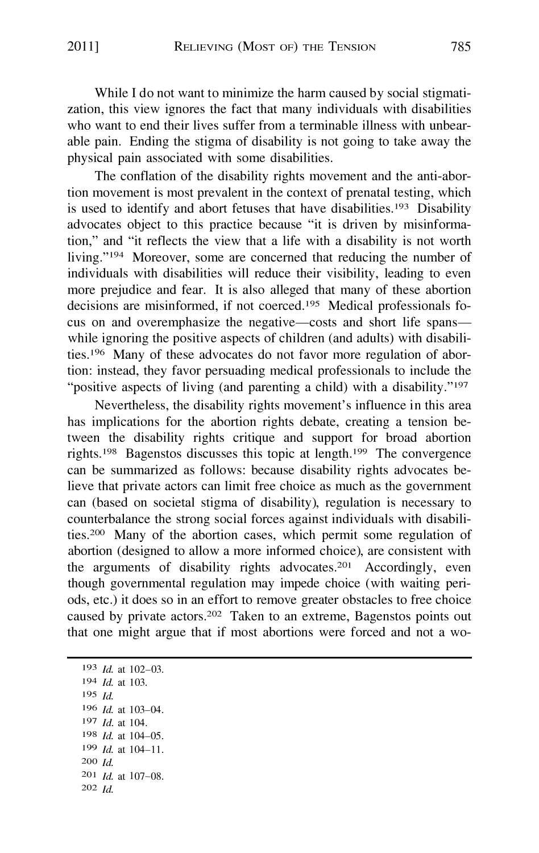While I do not want to minimize the harm caused by social stigmatization, this view ignores the fact that many individuals with disabilities who want to end their lives suffer from a terminable illness with unbearable pain. Ending the stigma of disability is not going to take away the physical pain associated with some disabilities.

The conflation of the disability rights movement and the anti-abortion movement is most prevalent in the context of prenatal testing, which is used to identify and abort fetuses that have disabilities.<sup>193</sup> Disability advocates object to this practice because "it is driven by misinformation," and "it reflects the view that a life with a disability is not worth living."194 Moreover, some are concerned that reducing the number of individuals with disabilities will reduce their visibility, leading to even more prejudice and fear. It is also alleged that many of these abortion decisions are misinformed, if not coerced.195 Medical professionals focus on and overemphasize the negative-costs and short life spanswhile ignoring the positive aspects of children (and adults) with disabilities.196 Many of these advocates do not favor more regulation of abortion: instead, they favor persuading medical professionals to include the "positive aspects of living (and parenting a child) with a disability."<sup>197</sup>

Nevertheless, the disability rights movement's influence in this area has implications for the abortion rights debate, creating a tension between the disability rights critique and support for broad abortion rights.198 Bagenstos discusses this topic at length.199 The convergence can be summarized as follows: because disability rights advocates believe that private actors can limit free choice as much as the government can (based on societal stigma of disability), regulation is necessary to counterbalance the strong social forces against individuals with disabilities.200 Many of the abortion cases, which permit some regulation of abortion ( designed to allow a more informed choice), are consistent with the arguments of disability rights advocates.201 Accordingly, even though governmental regulation may impede choice (with waiting periods, etc.) it does so in an effort to remove greater obstacles to free choice caused by private actors.202 Taken to an extreme, Bagenstos points out that one might argue that if most abortions were forced and not a wo-

201 *Id.* at 107-08. 193 *Id.* at 102-03. 194 *Id.* at 103. 195 *Id.*  l96 *Id.* at 103-04. 197 *Id.* at 104. l98 *Id.* at 104-05. 199 *Id.* at 104-11. 200 *Id.*  202 *Id.*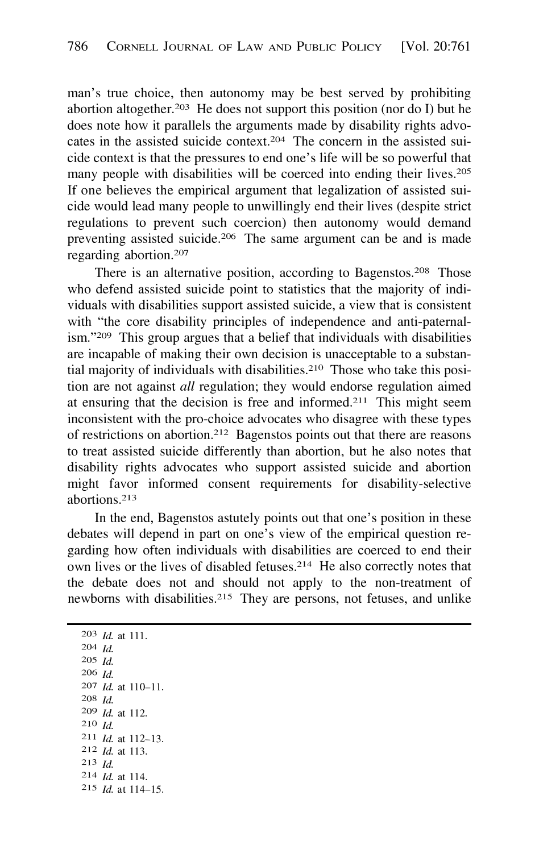man's true choice, then autonomy may be best served by prohibiting abortion altogether.<sup>203</sup> He does not support this position (nor do I) but he does note how it parallels the arguments made by disability rights advocates in the assisted suicide context.204 The concern in the assisted suicide context is that the pressures to end one's life will be so powerful that many people with disabilities will be coerced into ending their lives.<sup>205</sup> If one believes the empirical argument that legalization of assisted suicide would lead many people to unwillingly end their lives (despite strict regulations to prevent such coercion) then autonomy would demand preventing assisted suicide.206 The same argument can be and is made regarding abortion. 207

There is an alternative position, according to Bagenstos.<sup>208</sup> Those who defend assisted suicide point to statistics that the majority of individuals with disabilities support assisted suicide, a view that is consistent with "the core disability principles of independence and anti-paternalism."209 This group argues that a belief that individuals with disabilities are incapable of making their own decision is unacceptable to a substantial majority of individuals with disabilities.210 Those who take this position are not against *all* regulation; they would endorse regulation aimed at ensuring that the decision is free and informed.<sup>211</sup> This might seem inconsistent with the pro-choice advocates who disagree with these types of restrictions on abortion.212 Bagenstos points out that there are reasons to treat assisted suicide differently than abortion, but he also notes that disability rights advocates who support assisted suicide and abortion might favor informed consent requirements for disability-selective abortions.213

In the end, Bagenstos astutely points out that one's position in these debates will depend in part on one's view of the empirical question regarding how often individuals with disabilities are coerced to end their own lives or the lives of disabled fetuses.214 He also correctly notes that the debate does not and should not apply to the non-treatment of newborns with disabilities.215 They are persons, not fetuses, and unlike

**2 1 <sup>1</sup>***Id.* at 1 12-13. 203 *Id.* at 111. 204 *Id.*  205 *Id.*  206 *Id.*  207 *Id.* at 110-11. 208 *Id.*  209 *Id.* at 112. 210 *Id.*  212 *Id.* at 113. 213 *Id.* 214 *Id.* at 1 14. 215 *Id.* at 1 14-15.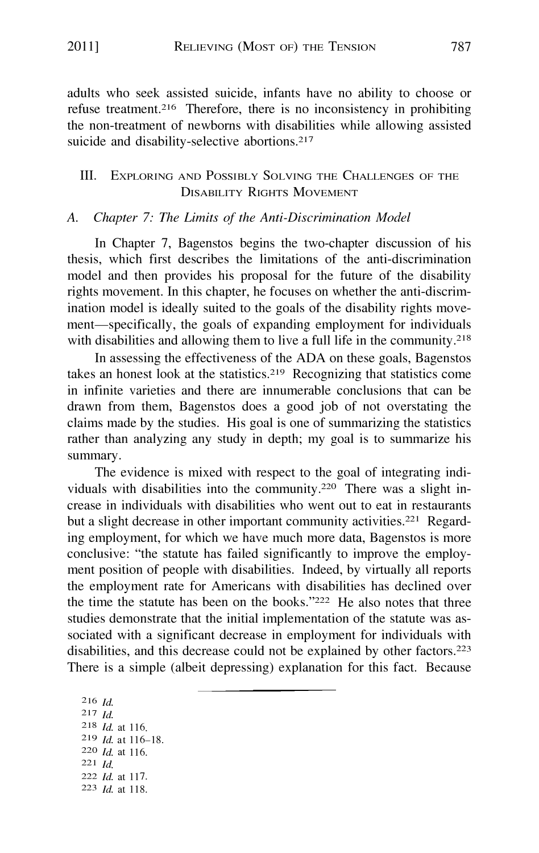adults who seek assisted suicide, infants have no ability to choose or refuse treatment.<sup>216</sup> Therefore, there is no inconsistency in prohibiting the non-treatment of newborns with disabilities while allowing assisted suicide and disability-selective abortions.**<sup>217</sup>**

## III. EXPLORING AND POSSIBLY SOLVING THE CHALLENGES OF THE DISABILITY RIGHTS MOVEMENT

#### *A. Chapter 7: The Limits of the Anti-Discrimination Model*

In Chapter 7, Bagenstos begins the two-chapter discussion of his thesis, which first describes the limitations of the anti-discrimination model and then provides his proposal for the future of the disability rights movement. In this chapter, he focuses on whether the anti-discrimination model is ideally suited to the goals of the disability rights movement—specifically, the goals of expanding employment for individuals with disabilities and allowing them to live a full life in the community.**<sup>218</sup>**

In assessing the effectiveness of the ADA on these goals, Bagenstos takes an honest look at the statistics.**<sup>219</sup>**Recognizing that statistics come in infinite varieties and there are innumerable conclusions that can be drawn from them, Bagenstos does a good job of not overstating the claims made by the studies. His goal is one of summarizing the statistics rather than analyzing any study in depth; my goal is to summarize his summary.

The evidence is mixed with respect to the goal of integrating individuals with disabilities into the community.**<sup>220</sup>**There was a slight increase in individuals with disabilities who went out to eat in restaurants but a slight decrease in other important community activities.<sup>221</sup> Regarding employment, for which we have much more data, Bagenstos is more conclusive: "the statute has failed significantly to improve the employment position of people with disabilities. Indeed, by virtually all reports the employment rate for Americans with disabilities has declined over the time the statute has been on the books."<sup>222</sup> He also notes that three studies demonstrate that the initial implementation of the statute was associated with a significant decrease in employment for individuals with disabilities, and this decrease could not be explained by other factors.**<sup>223</sup>** There is a simple (albeit depressing) explanation for this fact. Because

**<sup>216</sup>***Id.*  **217** *Id. Id.* **at** 1 1 6. *Id.* **at** 116. **221** *Id. Id.* **at** 116-18. *Id.* **at** 1 1 7. **223** *Id.* **at** 1 18.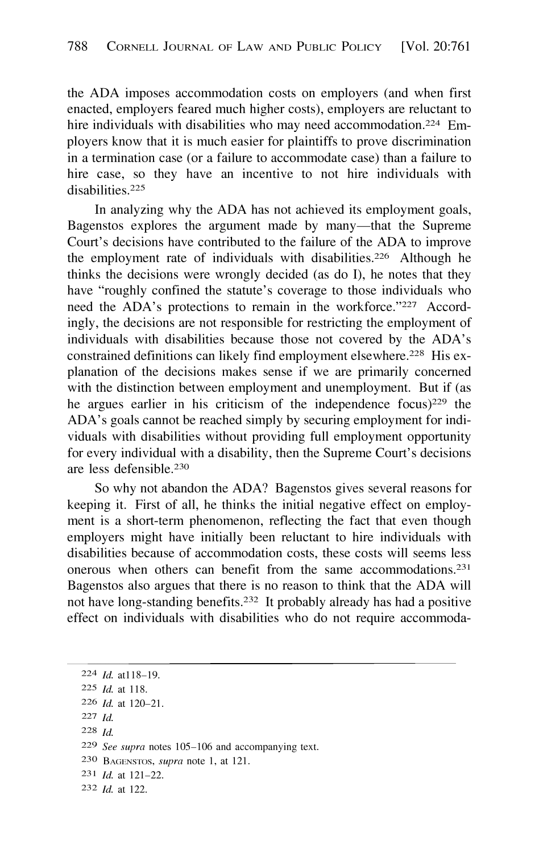the ADA imposes accommodation costs on employers (and when first enacted, employers feared much higher costs), employers are reluctant to hire individuals with disabilities who may need accommodation.<sup>224</sup> Employers know that it is much easier for plaintiffs to prove discrimination in a termination case ( or a failure to accommodate case) than a failure to hire case, so they have an incentive to not hire individuals with disabilities.225

In analyzing why the ADA has not achieved its employment goals, Bagenstos explores the argument made by many—that the Supreme Court's decisions have contributed to the failure of the ADA to improve the employment rate of individuals with disabilities.<sup>226</sup> Although he thinks the decisions were wrongly decided (as do I), he notes that they have "roughly confined the statute's coverage to those individuals who need the ADA's protections to remain in the workforce."227 Accordingly, the decisions are not responsible for restricting the employment of individuals with disabilities because those not covered by the ADA's constrained definitions can likely find employment elsewhere.<sup>228</sup> His explanation of the decisions makes sense if we are primarily concerned with the distinction between employment and unemployment. But if (as he argues earlier in his criticism of the independence focus)<sup>229</sup> the ADA's goals cannot be reached simply by securing employment for individuals with disabilities without providing full employment opportunity for every individual with a disability, then the Supreme Court's decisions are less defensible.<sup>230</sup>

So why not abandon the ADA? Bagenstos gives several reasons for keeping it. First of all, he thinks the initial negative effect on employment is a short-term phenomenon, reflecting the fact that even though employers might have initially been reluctant to hire individuals with disabilities because of accommodation costs, these costs will seems less onerous when others can benefit from the same accommodations.231 Bagenstos also argues that there is no reason to think that the ADA will not have long-standing benefits.232 It probably already has had a positive effect on individuals with disabilities who do not require accommoda-

- 221 *Id.*
- 22s *Id.*

230 BAGENSTOS, *supra* note 1, at 121.

<sup>224</sup> *Id.* at 118-19.

<sup>225</sup> *Id.* at 118.

<sup>226</sup> *Id.* at 120-21.

<sup>229</sup> *See supra* notes 105-106 and accompanying text.

<sup>231</sup> *Id.* at 121-22.

<sup>232</sup> *Id.* at 122.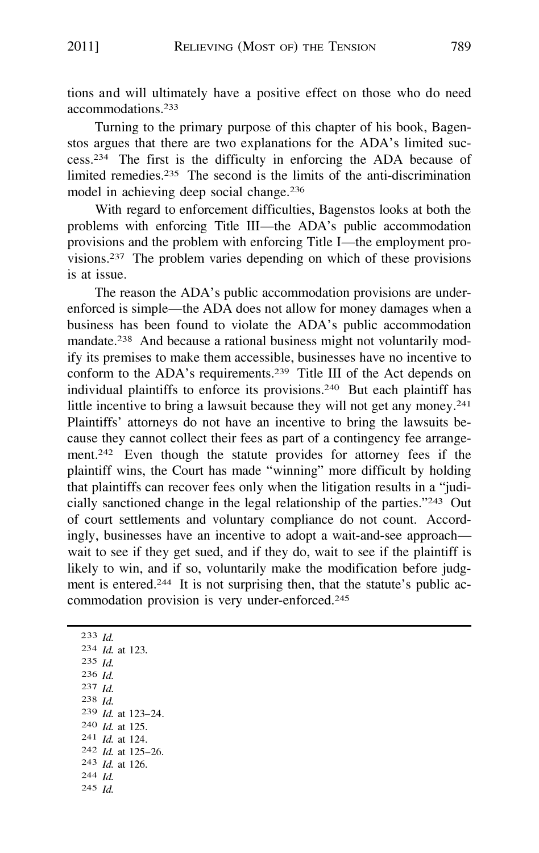tions and will ultimately have a positive effect on those who do need accommodations. 233

Turning to the primary purpose of this chapter of his book, Bagenstos argues that there are two explanations for the ADA's limited success.234 The first is the difficulty in enforcing the ADA because of limited remedies.235 The second is the limits of the anti-discrimination model in achieving deep social change.<sup>236</sup>

With regard to enforcement difficulties, Bagenstos looks at both the problems with enforcing Title III—the ADA's public accommodation provisions and the problem with enforcing Title I—the employment provisions.237 The problem varies depending on which of these provisions is at issue.

The reason the ADA's public accommodation provisions are underenforced is simple-the ADA does not allow for money damages when a business has been found to violate the ADA's public accommodation mandate.238 And because a rational business might not voluntarily modify its premises to make them accessible, businesses have no incentive to conform to the ADA's requirements.239 Title III of the Act depends on individual plaintiffs to enforce its provisions.240 But each plaintiff has little incentive to bring a lawsuit because they will not get any money.<sup>241</sup> Plaintiffs' attorneys do not have an incentive to bring the lawsuits because they cannot collect their fees as part of a contingency fee arrangement.242 Even though the statute provides for attorney fees if the plaintiff wins, the Court has made "winning" more difficult by holding that plaintiffs can recover fees only when the litigation results in a "judicially sanctioned change in the legal relationship of the parties."243 Out of court settlements and voluntary compliance do not count. Accordingly, businesses have an incentive to adopt a wait-and-see approach wait to see if they get sued, and if they do, wait to see if the plaintiff is likely to win, and if so, voluntarily make the modification before judgment is entered.<sup>244</sup> It is not surprising then, that the statute's public accommodation provision is very under-enforced.245

233 *Id.*  234 *Id.* at 123. 235 *Id.*  236 *Id.*  237 *Id.*  238 *Id.* 239 *Id.* at 123-24. 24<sup>0</sup>*Id.* at 125. 241 *Id.* at 124. 242 *Id.* at 125-26. 243 *Id.* at 126. 244 *Id.* 245 *Id.*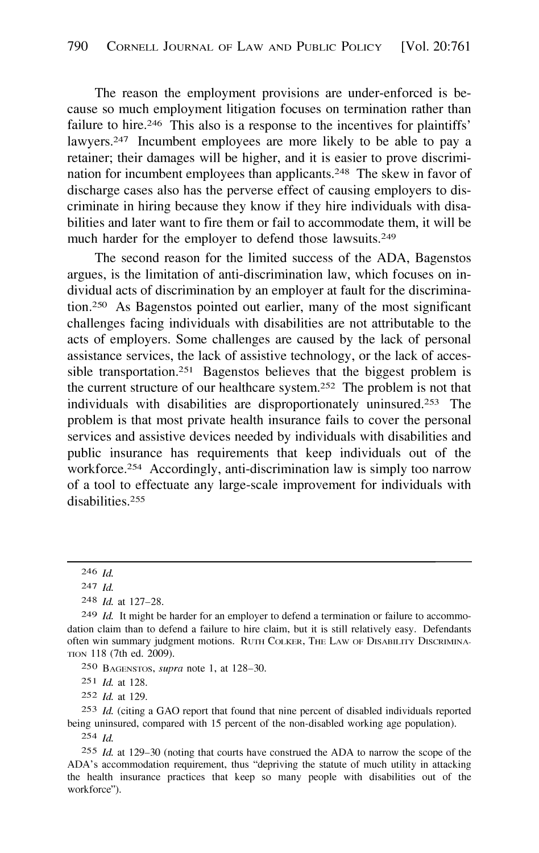The reason the employment provisions are under-enforced is because so much employment litigation focuses on termination rather than failure to hire.<sup>246</sup> This also is a response to the incentives for plaintiffs' lawyers.<sup>247</sup> Incumbent employees are more likely to be able to pay a retainer; their damages will be higher, and it is easier to prove discrimination for incumbent employees than applicants.248 The skew in favor of discharge cases also has the perverse effect of causing employers to discriminate in hiring because they know if they hire individuals with disabilities and later want to fire them or fail to accommodate them, it will be much harder for the employer to defend those lawsuits.<sup>249</sup>

The second reason for the limited success of the ADA, Bagenstos argues, is the limitation of anti-discrimination law, which focuses on individual acts of discrimination by an employer at fault for the discrimination.250 As Bagenstos pointed out earlier, many of the most significant challenges facing individuals with disabilities are not attributable to the acts of employers. Some challenges are caused by the lack of personal assistance services, the lack of assistive technology, or the lack of accessible transportation.251 Bagenstos believes that the biggest problem is the current structure of our healthcare system.252 The problem is not that individuals with disabilities are disproportionately uninsured.253 The problem is that most private health insurance fails to cover the personal services and assistive devices needed by individuals with disabilities and public insurance has requirements that keep individuals out of the workforce.<sup>254</sup> Accordingly, anti-discrimination law is simply too narrow of a tool to effectuate any large-scale improvement for individuals with disabilities. 255

251 *Id.* at 128.

252 *Id.* at 129.

253 *Id.* (citing a GAO report that found that nine percent of disabled individuals reported being uninsured, compared with 15 percent of the non-disabled working age population).

254 *Id.* 

255 *Id.* at 129-30 (noting that courts have construed the ADA to narrow the scope of the ADA's accommodation requirement, thus "depriving the statute of much utility in attacking the health insurance practices that keep so many people with disabilities out of the workforce").

<sup>246</sup> *Id.* 

<sup>247</sup> *Id.* 

<sup>248</sup> *Id.* at 127-28.

<sup>249</sup> *Id.* It might be harder for an employer to defend a termination or failure to accommodation claim than to defend a failure to hire claim, but it is still relatively easy. Defendants often win summary judgment motions. RuTII CoLKER, THE LAW OF DISABILITY DISCRIMINA-TION 118 (7th ed. 2009).

<sup>250</sup> BAGENSTOS, *supra* note 1, at 128-30.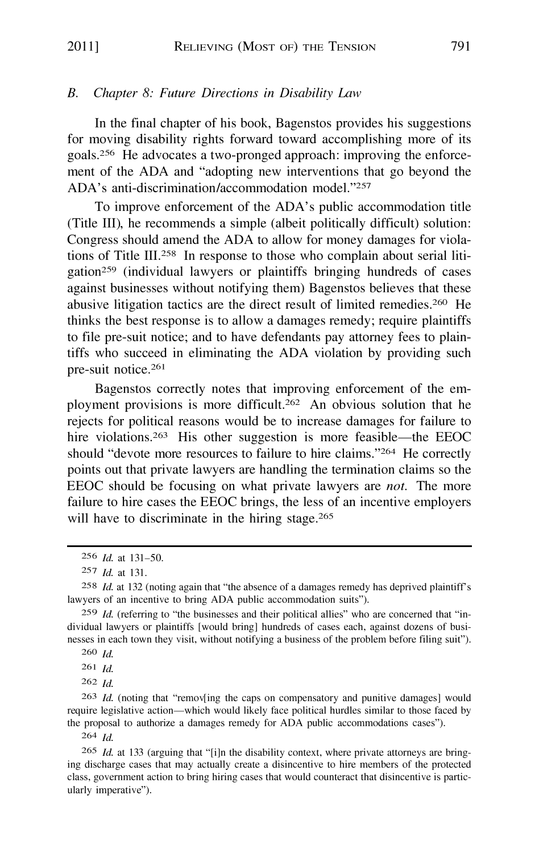#### *B. Chapter 8: Future Directions in Disability Law*

In the final chapter of his book, Bagenstos provides his suggestions for moving disability rights forward toward accomplishing more of its goals.256 He advocates a two-pronged approach: improving the enforcement of the ADA and "adopting new interventions that go beyond the ADA's anti-discrimination/accommodation model."<sup>25</sup>7

To improve enforcement of the ADA's public accommodation title (Title III), he recommends a simple (albeit politically difficult) solution: Congress should amend the ADA to allow for money damages for violations of Title III.258 In response to those who complain about serial litigation259 (individual lawyers or plaintiffs bringing hundreds of cases against businesses without notifying them) Bagenstos believes that these abusive litigation tactics are the direct result of limited remedies.260 He thinks the best response is to allow a damages remedy; require plaintiffs to file pre-suit notice; and to have defendants pay attorney fees to plaintiffs who succeed in eliminating the ADA violation by providing such pre-suit notice.<sup>2</sup>61

Bagenstos correctly notes that improving enforcement of the employment provisions is more difficult.262 An obvious solution that he rejects for political reasons would be to increase damages for failure to hire violations.<sup>263</sup> His other suggestion is more feasible—the EEOC should "devote more resources to failure to hire claims."264 He correctly points out that private lawyers are handling the termination claims so the EEOC should be focusing on what private lawyers are *not.* The more failure to hire cases the EEOC brings, the less of an incentive employers will have to discriminate in the hiring stage.<sup>265</sup>

262 *Id.* 

263 *Id.* (noting that "remov[ing the caps on compensatory and punitive damages] would require legislative action-which would likely face political hurdles similar to those faced by the proposal to authorize a damages remedy for ADA public accommodations cases").

264 *Id.* 

265 *Id.* at 133 (arguing that "[i]n the disability context, where private attorneys are bringing discharge cases that may actually create a disincentive to hire members of the protected class, government action to bring hiring cases that would counteract that disincentive is particularly imperative").

<sup>2</sup><sup>5</sup> 6 *Id.* at 131-50.

<sup>257</sup> *Id.* at 131.

<sup>2</sup><sup>5</sup> 8 *Id.* at 132 (noting again that "the absence of a damages remedy has deprived plaintiff's lawyers of an incentive to bring ADA public accommodation suits").

<sup>&</sup>lt;sup>259</sup> *Id.* (referring to "the businesses and their political allies" who are concerned that "individual lawyers or plaintiffs [ would bring] hundreds of cases each, against dozens of businesses in each town they visit, without notifying a business of the problem before filing suit").

<sup>260</sup> *Id.* 

<sup>261</sup> *Id.*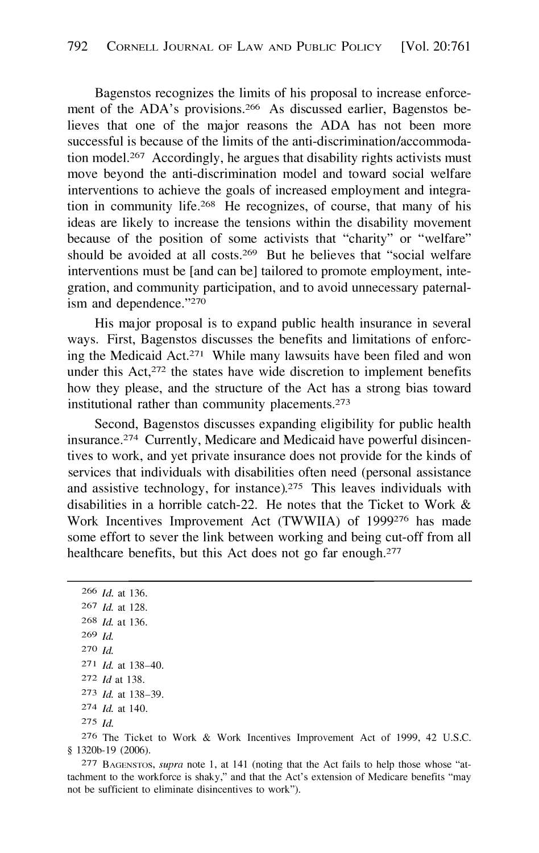Bagenstos recognizes the limits of his proposal to increase enforcement of the ADA's provisions.<sup>266</sup> As discussed earlier, Bagenstos believes that one of the major reasons the ADA has not been more successful is because of the limits of the anti-discrimination/accommodation model.267 Accordingly, he argues that disability rights activists must move beyond the anti-discrimination model and toward social welfare interventions to achieve the goals of increased employment and integration in community life.268 He recognizes, of course, that many of his ideas are likely to increase the tensions within the disability movement because of the position of some activists that "charity" or "welfare" should be avoided at all costs.<sup>269</sup> But he believes that "social welfare interventions must be [and can be] tailored to promote employment, integration, and community participation, and to avoid unnecessary paternalism and dependence."270

His major proposal is to expand public health insurance in several ways. First, Bagenstos discusses the benefits and limitations of enforcing the Medicaid Act.<sup>271</sup> While many lawsuits have been filed and won under this  $Act, <sup>272</sup>$  the states have wide discretion to implement benefits how they please, and the structure of the Act has a strong bias toward institutional rather than community placements.273

Second, Bagenstos discusses expanding eligibility for public health insurance.274 Currently, Medicare and Medicaid have powerful disincentives to work, and yet private insurance does not provide for the kinds of services that individuals with disabilities often need (personal assistance and assistive technology, for instance).275 This leaves individuals with disabilities in a horrible catch-22. He notes that the Ticket to Work & Work Incentives Improvement Act (TWWIIA) of 1999276 has made some effort to sever the link between working and being cut-off from all healthcare benefits, but this Act does not go far enough.<sup>277</sup>

*Id.* at 136. *Id.* at 128. *Id.* at 136. 269 *Id. 210 Id. Id.* at 138-40. *Id* at 138. *Id.* at 138-39. *Id.* at 140. 275 *Id.* 

276 The Ticket to Work & Work Incentives Improvement Act of 1999, 42 U.S.C. § 1320b-19 (2006).

277 BAGENSTos, *supra* note 1, at 141 (noting that the Act fails to help those whose "attachment to the workforce is shaky," and that the Act's extension of Medicare benefits "may not be sufficient to eliminate disincentives to work").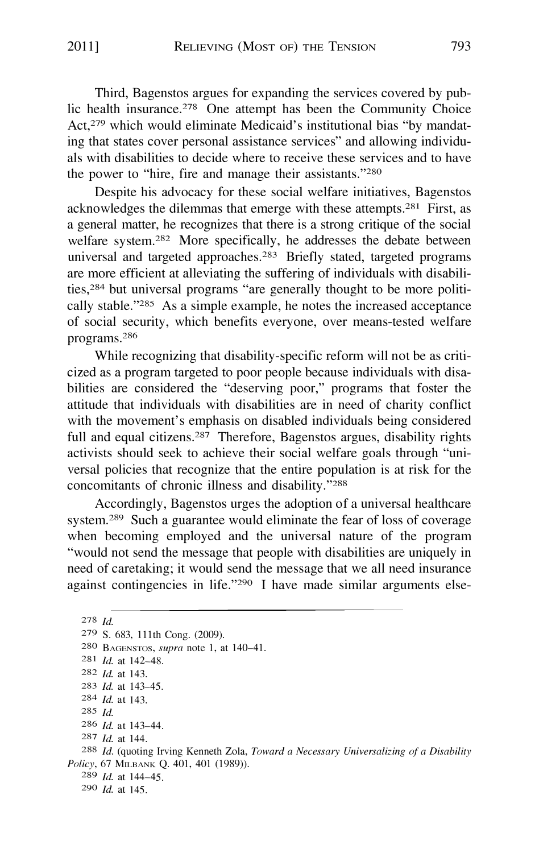Third, Bagenstos argues for expanding the services covered by public health insurance.278 One attempt has been the Community Choice Act,279 which would eliminate Medicaid's institutional bias "by mandating that states cover personal assistance services" and allowing individuals with disabilities to decide where to receive these services and to have the power to "hire, fire and manage their assistants."280

Despite his advocacy for these social welfare initiatives, Bagenstos acknowledges the dilemmas that emerge with these attempts.281 First, as a general matter, he recognizes that there is a strong critique of the social welfare system.<sup>282</sup> More specifically, he addresses the debate between universal and targeted approaches.283 Briefly stated, targeted programs are more efficient at alleviating the suffering of individuals with disabilities,284 but universal programs "are generally thought to be more politically stable."285 As a simple example, he notes the increased acceptance of social security, which benefits everyone, over means-tested welfare programs.286

While recognizing that disability-specific reform will not be as criticized as a program targeted to poor people because individuals with disabilities are considered the "deserving poor," programs that foster the attitude that individuals with disabilities are in need of charity conflict with the movement's emphasis on disabled individuals being considered full and equal citizens.<sup>287</sup> Therefore, Bagenstos argues, disability rights activists should seek to achieve their social welfare goals through "universal policies that recognize that the entire population is at risk for the concomitants of chronic illness and disability."288

Accordingly, Bagenstos urges the adoption of a universal healthcare system.289 Such a guarantee would eliminate the fear of loss of coverage when becoming employed and the universal nature of the program "would not send the message that people with disabilities are uniquely in need of caretaking; it would send the message that we all need insurance against contingencies in life."290 I have made similar arguments else-

*Id.* at 142-48. *Id.* at 143. 285 *Id. Id.* at 143-44. *Id.* at 144. *Id.* at 144-45. *Id.* at 145. 278 *Id.*  279 S. 683, 111th Cong. (2009). 280 BAGENSTOS, *supra* note 1, at 140-41. *Id.* at 143. *Id.* at 143-45. *Id.* (quoting Irving Kenneth Zola, *Toward a Necessary Universalizing of a Disability Policy,* 67 MILBANK Q. 401, 401 (1989)).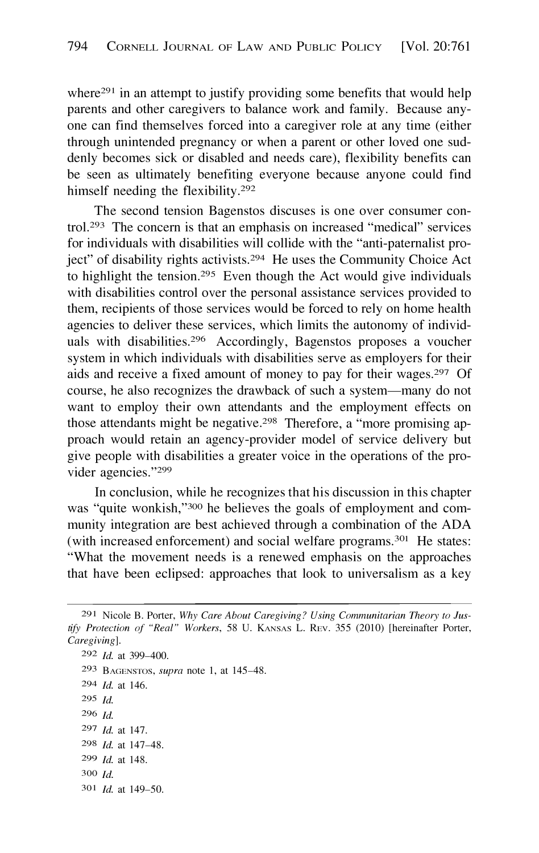where<sup>291</sup> in an attempt to justify providing some benefits that would help parents and other caregivers to balance work and family. Because anyone can find themselves forced into a caregiver role at any time (either through unintended pregnancy or when a parent or other loved one suddenly becomes sick or disabled and needs care), flexibility benefits can be seen as ultimately benefiting everyone because anyone could find himself needing the flexibility.<sup>292</sup>

The second tension Bagenstos discuses is one over consumer control.293 The concern is that an emphasis on increased "medical" services for individuals with disabilities will collide with the "anti-paternalist project" of disability rights activists.294 He uses the Community Choice Act to highlight the tension.295 Even though the Act would give individuals with disabilities control over the personal assistance services provided to them, recipients of those services would be forced to rely on home health agencies to deliver these services, which limits the autonomy of individuals with disabilities.296 Accordingly, Bagenstos proposes a voucher system in which individuals with disabilities serve as employers for their aids and receive a fixed amount of money to pay for their wages.297 Of course, he also recognizes the drawback of such a system-many do not want to employ their own attendants and the employment effects on those attendants might be negative.298 Therefore, a "more promising approach would retain an agency-provider model of service delivery but give people with disabilities a greater voice in the operations of the provider agencies."299

In conclusion, while he recognizes that his discussion in this chapter was "quite wonkish,"300 he believes the goals of employment and community integration are best achieved through a combination of the ADA (with increased enforcement) and social welfare programs.301 He states: "What the movement needs is a renewed emphasis on the approaches that have been eclipsed: approaches that look to universalism as a key

292 *Id.* at 399-400. 293 BAGENSTOS, *supra* note 1, at 145-48. 294 *Id.* at 146. 295 *Id.*  296 *Id.*  297 *Id.* at 147. 298 *Id.* at 147-48. 299 *Id.* at 148. 300 *Id.*  301 *Id.* at 149-50.

<sup>291</sup> Nicole B. Porter, *Why Care About Caregiving? Using Communitarian Theory to Justify Protection of "Real" Workers,* 58 U. KANsAs L. REv. 355 (2010) [hereinafter Porter, *Caregiving].*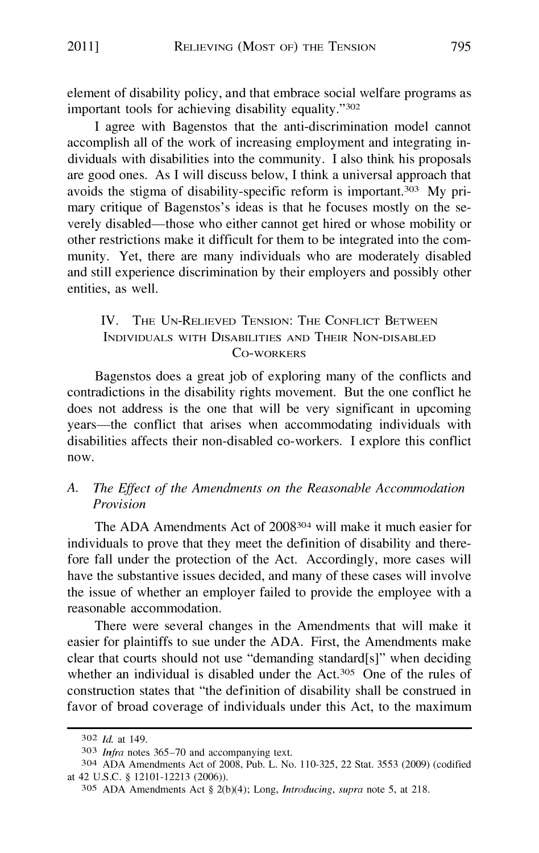element of disability policy, and that embrace social welfare programs as important tools for achieving disability equality."<sup>302</sup>

I agree with Bagenstos that the anti-discrimination model cannot accomplish all of the work of increasing employment and integrating individuals with disabilities into the community. I also think his proposals are good ones. As I will discuss below, I think a universal approach that avoids the stigma of disability-specific reform is important.303 My primary critique of Bagenstos's ideas is that he focuses mostly on the severely disabled-those who either cannot get hired or whose mobility or other restrictions make it difficult for them to be integrated into the community. Yet, there are many individuals who are moderately disabled and still experience discrimination by their employers and possibly other entities, as well.

## IV. THE UN-RELIEVED TENSION: THE CONFLICT BETWEEN INDIVIDUALS WITH DISABILITIES AND THEIR NON-DISABLED Co-WORKERS

Bagenstos does a great job of exploring many of the conflicts and contradictions in the disability rights movement. But the one conflict he does not address is the one that will be very significant in upcoming years—the conflict that arises when accommodating individuals with disabilities affects their non-disabled co-workers. I explore this conflict now.

## *A. The Effect of the Amendments on the Reasonable Accommodation Provision*

The ADA Amendments Act of 2008304 will make it much easier for individuals to prove that they meet the definition of disability and therefore fall under the protection of the Act. Accordingly, more cases will have the substantive issues decided, and many of these cases will involve the issue of whether an employer failed to provide the employee with a reasonable accommodation.

There were several changes in the Amendments that will make it easier for plaintiffs to sue under the ADA. First, the Amendments make clear that courts should not use "demanding standard[s]" when deciding whether an individual is disabled under the Act.<sup>305</sup> One of the rules of construction states that "the definition of disability shall be construed in favor of broad coverage of individuals under this Act, to the maximum

<sup>302</sup> *Id.* at 149.

<sup>303</sup> *Infra* notes 365-70 and accompanying text.

<sup>304</sup> ADA Amendments Act of 2008, Pub. L. No. 110-325, 22 Stat. 3553 (2009) (codified at 42 U.S.C. § 12101-12213 (2006)).

<sup>305</sup> ADA Amendments Act § 2(b)(4); Long, *Introducing, supra* note 5, at 218.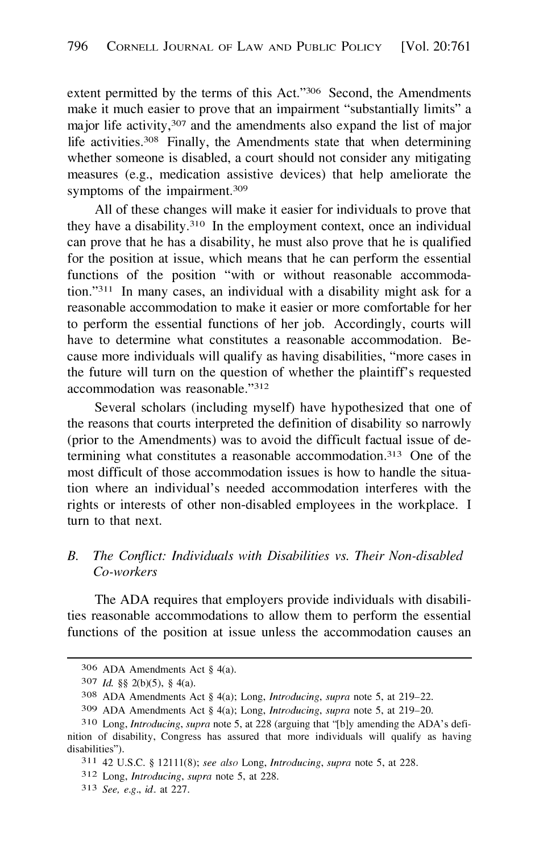<span id="page-35-0"></span>extent permitted by the terms of this Act."306 Second, the Amendments make it much easier to prove that an impairment "substantially limits" a major life activity,<sup>307</sup> and the amendments also expand the list of major life activities.308 Finally, the Amendments state that when determining whether someone is disabled, a court should not consider any mitigating measures (e.g., medication assistive devices) that help ameliorate the symptoms of the impairment.<sup>309</sup>

All of these changes will make it easier for individuals to prove that they have a disability.<sup>310</sup> In the employment context, once an individual can prove that he has a disability, he must also prove that he is qualified for the position at issue, which means that he can perform the essential functions of the position "with or without reasonable accommodation."311 In many cases, an individual with a disability might ask for a reasonable accommodation to make it easier or more comfortable for her to perform the essential functions of her job. Accordingly, courts will have to determine what constitutes a reasonable accommodation. Because more individuals will qualify as having disabilities, "more cases in the future will tum on the question of whether the plaintiff's requested accommodation was reasonable."312

Several scholars (including myself) have hypothesized that one of the reasons that courts interpreted the definition of disability so narrowly (prior to the Amendments) was to avoid the difficult factual issue of determining what constitutes a reasonable accommodation.<sup>313</sup> One of the most difficult of those accommodation issues is how to handle the situation where an individual's needed accommodation interferes with the rights or interests of other non-disabled employees in the workplace. I tum to that next.

#### *B. The Conflict: Individuals with Disabilities vs. Their Non-disabled Co-workers*

The ADA requires that employers provide individuals with disabilities reasonable accommodations to allow them to perform the essential functions of the position at issue unless the accommodation causes an

<sup>306</sup> ADA Amendments Act § 4(a).

<sup>307</sup> *Id.* §§ 2(b)(5), § 4(a).

<sup>308</sup> ADA Amendments Act § 4(a); Long, *Introducing, supra* note 5, at 219-22.

<sup>309</sup> ADA Amendments Act § 4(a); Long, *Introducing, supra* note 5, at 219-20.

<sup>3</sup> l0 Long, *Introducing, supra* note 5, at 228 (arguing that "[b]y amending the ADA's definition of disability, Congress has assured that more individuals will qualify as having disabilities").

<sup>311 42</sup> U.S.C. § 12111(8); *see also* Long, *Introducing, supra* note 5, at 228.

<sup>312</sup> Long, *Introducing, supra* note 5, at 228.

<sup>31</sup> 3 *See, e.g., id.* at 227.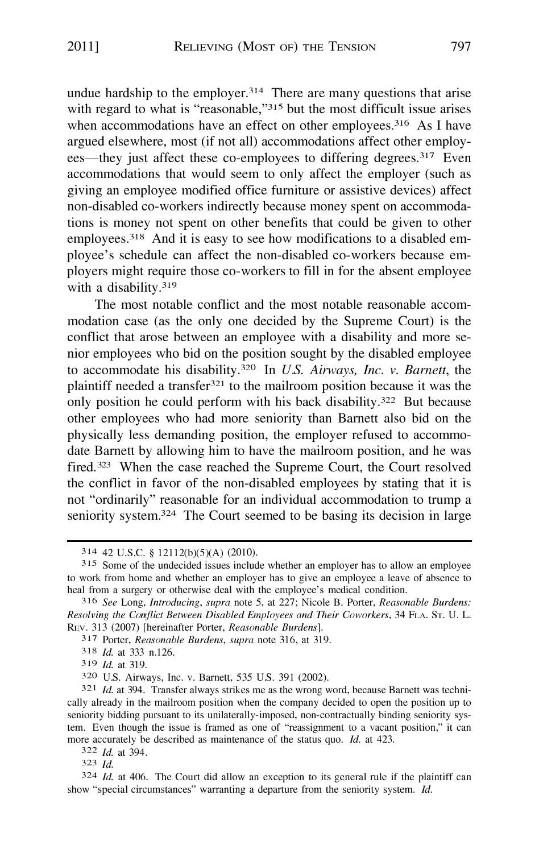undue hardship to the employer.<sup>314</sup> There are many questions that arise with regard to what is "reasonable,"<sup>315</sup> but the most difficult issue arises when accommodations have an effect on other employees.<sup>316</sup> As I have argued elsewhere, most (if not all) accommodations affect other employees—they just affect these co-employees to differing degrees.<sup>317</sup> Even accommodations that would seem to only affect the employer (such as giving an employee modified office furniture or assistive devices) affect non-disabled co-workers indirectly because money spent on accommodations is money not spent on other benefits that could be given to other employees.<sup>318</sup> And it is easy to see how modifications to a disabled employee's schedule can affect the non-disabled co-workers because employers might require those co-workers to fill in for the absent employee with a disability.<sup>319</sup>

The most notable conflict and the most notable reasonable accommodation case (as the only one decided by the Supreme Court) is the conflict that arose between an employee with a disability and more senior employees who bid on the position sought by the disabled employee to accommodate his disability.<sup>32</sup>0 In *U.S. Airways, Inc. v. Barnett,* the plaintiff needed a transfer<sup>321</sup> to the mailroom position because it was the only position he could perform with his back disability.<sup>322</sup> But because other employees who had more seniority than Barnett also bid on the physically less demanding position, the employer refused to accommodate Barnett by allowing him to have the mailroom position, and he was fired.<sup>323</sup> When the case reached the Supreme Court, the Court resolved the conflict in favor of the non-disabled employees by stating that it is not "ordinarily" reasonable for an individual accommodation to trump a seniority system.<sup>32</sup>4 The Court seemed to be basing its decision in large

3 19 *Id.* at 319.

322 *Id.* at 394.

323 *Id.* 

<sup>3 1</sup>4 42 U.S.C. § 12112(b)(5)(A) (2010).

<sup>3 1</sup>5 Some of the undecided issues include whether an employer has to allow an employee to work from home and whether an employer has to give an employee a leave of absence to heal from a surgery or otherwise deal with the employee's medical condition.

<sup>3 1</sup>6 *See* Long, *Introducing, supra* note 5, at 227; Nicole B. Porter, *Reasonable Burdens: Resolving the Conflict Between Disabled Employees and Their Coworkers,* 34 FLA. ST. U. L. REv. 313 (2007) [hereinafter Porter, *Reasonable Burdens].* 

<sup>3 1</sup>7 Porter, *Reasonable Burdens, supra* note 316, at 319.

<sup>3 1</sup>8 *Id.* at 333 n.126.

<sup>3</sup>20 U.S. Airways, Inc. v. Barnett, 535 U.S. 391 (2002).

<sup>&</sup>lt;sup>321</sup> *Id.* at 394. Transfer always strikes me as the wrong word, because Barnett was technically already in the mailroom position when the company decided to open the position up to seniority bidding pursuant to its unilaterally-imposed, non-contractually binding seniority system. Even though the issue is framed as one of "reassignment to a vacant position," it can more accurately be described as maintenance of the status quo. *Id.* at 423.

<sup>3</sup>24 *Id.* at 406. The Court did allow an exception to its general rule if the plaintiff can show "special circumstances" warranting a departure from the seniority system. *Id.*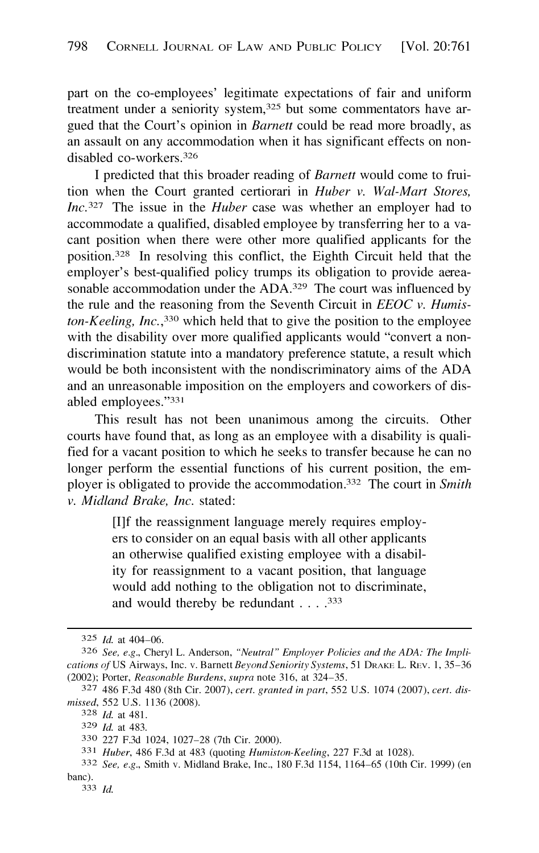part on the co-employees' legitimate expectations of fair and uniform treatment under a seniority system,<sup>325</sup> but some commentators have argued that the Court's opinion in *Barnett* could be read more broadly, as an assault on any accommodation when it has significant effects on nondisabled co-workers.<sup>326</sup>

I predicted that this broader reading of *Barnett* would come to fruition when the Court granted certiorari in *Huber v. Wal-Mart Stores, Inc.*327 The issue in the *Huber* case was whether an employer had to accommodate a qualified, disabled employee by transferring her to a vacant position when there were other more qualified applicants for the position.328 In resolving this conflict, the Eighth Circuit held that the employer's best-qualified policy trumps its obligation to provide aereasonable accommodation under the ADA.<sup>329</sup> The court was influenced by the rule and the reasoning from the Seventh Circuit in *EEOC v. Humiston-Keeling, Inc. ,330* which held that to give the position to the employee with the disability over more qualified applicants would "convert a nondiscrimination statute into a mandatory preference statute, a result which would be both inconsistent with the nondiscriminatory aims of the ADA and an unreasonable imposition on the employers and coworkers of disabled employees."331

This result has not been unanimous among the circuits. Other courts have found that, as long as an employee with a disability is qualified for a vacant position to which he seeks to transfer because he can no longer perform the essential functions of his current position, the employer is obligated to provide the accommodation. 332 The court in *Smith v. Midland Brake, Inc.* stated:

> [I]f the reassignment language merely requires employers to consider on an equal basis with all other applicants an otherwise qualified existing employee with a disability for reassignment to a vacant position, that language would add nothing to the obligation not to discriminate, and would thereby be redundant . . . .<sup>333</sup>

<sup>325</sup> *Id.* at 404-06.

<sup>326</sup> *See, e.g.,* Cheryl L. Anderson, *"Neutral" Employer Policies and the ADA: The Implications of* US Airways, Inc. v. Barnett *Beyond Seniority Systems,* 51 DRAKE L. REv. 1, 35-36 (2002); Porter, *Reasonable Burdens, supra* note 316, at 324-35.

<sup>327 486</sup> F.3d 480 (8th Cir. 2007), *cert. granted in part,* 552 U.S. 1074 (2007), *cert. dismissed,* 552 U.S. 1136 (2008).

<sup>328</sup> *Id.* at 481.

<sup>329</sup> *Id.* at 483.

<sup>330 227</sup> F.3d 1024, 1027-28 (7th Cir. 2000).

<sup>33</sup> 1 *Huber,* 486 F.3d at 483 (quoting *Humiston-Keeling,* 227 F.3d at 1028).

<sup>332</sup> *See, e.g.,* Smith v. Midland Brake, Inc., 180 F.3d 1154, 1164-65 (10th Cir. 1999) (en bane).

<sup>333</sup> *Id.*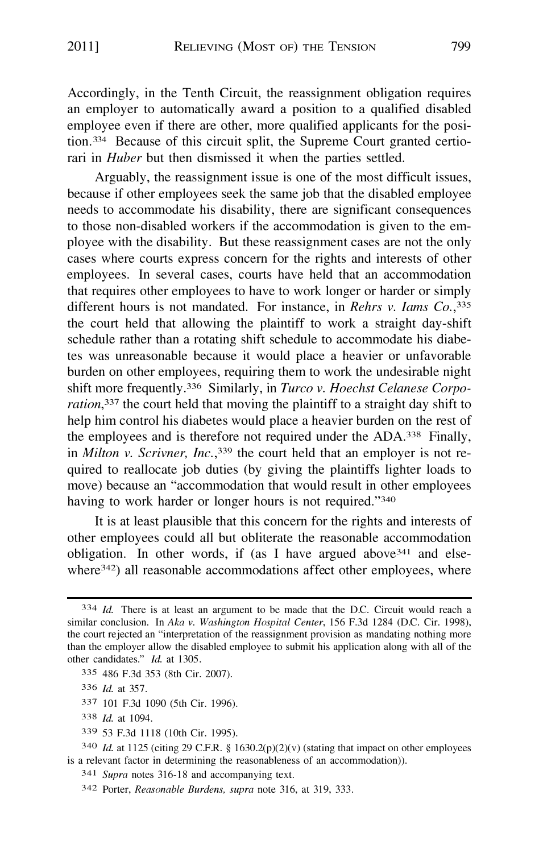Accordingly, in the Tenth Circuit, the reassignment obligation requires an employer to automatically award a position to a qualified disabled employee even if there are other, more qualified applicants for the position.<sup>334</sup> Because of this circuit split, the Supreme Court granted certiorari in *Huber* but then dismissed it when the parties settled.

Arguably, the reassignment issue is one of the most difficult issues, because if other employees seek the same job that the disabled employee needs to accommodate his disability, there are significant consequences to those non-disabled workers if the accommodation is given to the employee with the disability. But these reassignment cases are not the only cases where courts express concern for the rights and interests of other employees. In several cases, courts have held that an accommodation that requires other employees to have to work longer or harder or simply different hours is not mandated. For instance, in *Rehrs v. Iams Co. , 335*  the court held that allowing the plaintiff to work a straight day-shift schedule rather than a rotating shift schedule to accommodate his diabetes was unreasonable because it would place a heavier or unfavorable burden on other employees, requiring them to work the undesirable night shift more frequently. <sup>33</sup>6 Similarly, in *Turco v. Hoechst Celanese Corporation*,<sup>337</sup> the court held that moving the plaintiff to a straight day shift to help him control his diabetes would place a heavier burden on the rest of the employees and is therefore not required under the ADA.338 Finally, in *Milton v. Scrivner, Inc.*,<sup>339</sup> the court held that an employer is not required to reallocate job duties (by giving the plaintiffs lighter loads to move) because an "accommodation that would result in other employees having to work harder or longer hours is not required."<sup>340</sup>

It is at least plausible that this concern for the rights and interests of other employees could all but obliterate the reasonable accommodation obligation. In other words, if (as I have argued above  $341$  and elsewhere<sup>342</sup>) all reasonable accommodations affect other employees, where

<sup>33</sup> 7 101 F.3d 1090 (5th Cir. 1996).

<sup>33</sup> 9 53 F.3d 1118 (10th Cir. 1995).

<sup>34</sup>1 *Supra* notes 316-18 and accompanying text.

<sup>33</sup>4 *Id.* There is at least an argument to be made that the D.C. Circuit would reach a similar conclusion. In *Aka v. Washington Hospital Center*, 156 F.3d 1284 (D.C. Cir. 1998), the court rejected an "interpretation of the reassignment provision as mandating nothing more than the employer allow the disabled employee to submit his application along with all of the other candidates." *Id.* at 1305.

<sup>33</sup> 5 486 F.3d 353 (8th Cir. 2007).

<sup>33</sup> 6 *Id.* at 357.

<sup>33</sup> 8 *Id.* at 1094.

<sup>34</sup>0 *Id.* at 1125 (citing 29 C.F.R. § 1630.2(p)(2)(v) (stating that impact on other employees is a relevant factor in determining the reasonableness of an accommodation)).

<sup>34</sup>2 Porter, *Reasonable Burdens, supra* note 316, at 319, 333.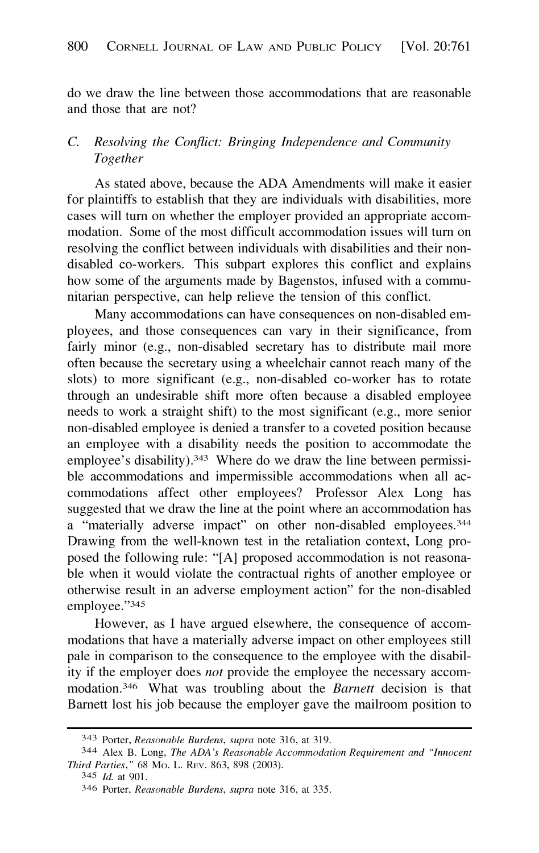<span id="page-39-0"></span>do we draw the line between those accommodations that are reasonable and those that are not?

## C. *Resolving the Conflict: Bringing Independence and Community Together*

As stated above, because the ADA Amendments will make it easier for plaintiffs to establish that they are individuals with disabilities, more cases will turn on whether the employer provided an appropriate accommodation. Some of the most difficult accommodation issues will turn on resolving the conflict between individuals with disabilities and their nondisabled co-workers. This subpart explores this conflict and explains how some of the arguments made by Bagenstos, infused with a communitarian perspective, can help relieve the tension of this conflict.

Many accommodations can have consequences on non-disabled employees, and those consequences can vary in their significance, from fairly minor (e.g., non-disabled secretary has to distribute mail more often because the secretary using a wheelchair cannot reach many of the slots) to more significant (e.g., non-disabled co-worker has to rotate through an undesirable shift more often because a disabled employee needs to work a straight shift) to the most significant (e.g., more senior non-disabled employee is denied a transfer to a coveted position because an employee with a disability needs the position to accommodate the employee's disability).<sup>343</sup> Where do we draw the line between permissible accommodations and impermissible accommodations when all accommodations affect other employees? Professor Alex Long has suggested that we draw the line at the point where an accommodation has a "materially adverse impact" on other non-disabled employees.<sup>344</sup> Drawing from the well-known test in the retaliation context, Long proposed the following rule: "[A] proposed accommodation is not reasonable when it would violate the contractual rights of another employee or otherwise result in an adverse employment action" for the non-disabled employee."345

However, as I have argued elsewhere, the consequence of accommodations that have a materially adverse impact on other employees still pale in comparison to the consequence to the employee with the disability if the employer does *not* provide the employee the necessary accommodation.346 What was troubling about the *Barnett* decision is that Barnett lost his job because the employer gave the mailroom position to

<sup>343</sup> Porter, *Reasonable Burdens, supra* note 316, at 319.

<sup>344</sup> Alex B. Long, *The ADA's Reasonable Accommodation Requirement and "Innocent Third Parties, "* 68 Mo. L. REv. 863, 898 (2003).

<sup>345</sup> *Id.* at 901.

<sup>346</sup> Porter, *Reasonable Burdens, supra* note 316, at 335.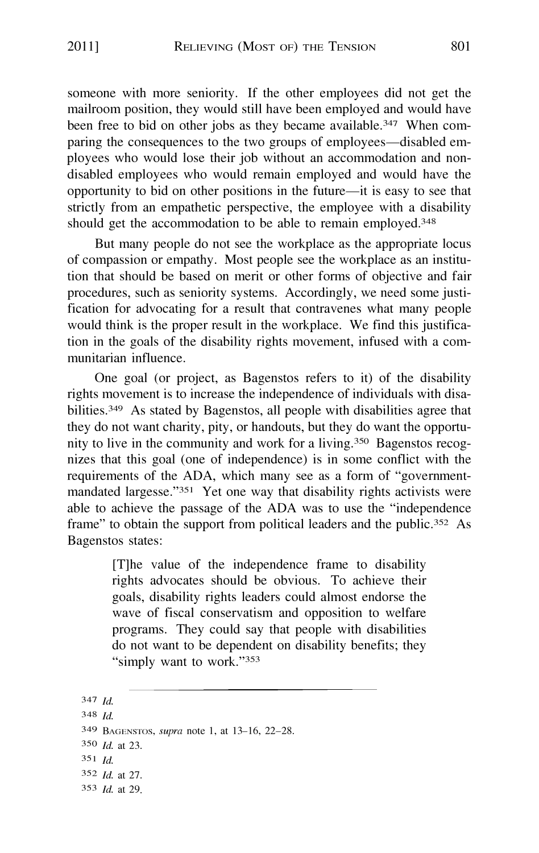someone with more seniority. If the other employees did not get the mailroom position, they would still have been employed and would have been free to bid on other jobs as they became available.<sup>347</sup> When comparing the consequences to the two groups of employees—disabled employees who would lose their job without an accommodation and nondisabled employees who would remain employed and would have the opportunity to bid on other positions in the future-it is easy to see that strictly from an empathetic perspective, the employee with a disability should get the accommodation to be able to remain employed.<sup>348</sup>

But many people do not see the workplace as the appropriate locus of compassion or empathy. Most people see the workplace as an institution that should be based on merit or other forms of objective and fair procedures, such as seniority systems. Accordingly, we need some justification for advocating for a result that contravenes what many people would think is the proper result in the workplace. We find this justification in the goals of the disability rights movement, infused with a communitarian influence.

One goal (or project, as Bagenstos refers to it) of the disability rights movement is to increase the independence of individuals with disabilities.349 As stated by Bagenstos, all people with disabilities agree that they do not want charity, pity, or handouts, but they do want the opportunity to live in the community and work for a living.350 Bagenstos recognizes that this goal ( one of independence) is in some conflict with the requirements of the ADA, which many see as a form of "govemmentmandated largesse."351 Yet one way that disability rights activists were able to achieve the passage of the ADA was to use the "independence frame" to obtain the support from political leaders and the public.<sup>352</sup> As Bagenstos states:

> [T]he value of the independence frame to disability rights advocates should be obvious. To achieve their goals, disability rights leaders could almost endorse the wave of fiscal conservatism and opposition to welfare programs. They could say that people with disabilities do not want to be dependent on disability benefits; they "simply want to work."<sup>353</sup>

353 *Id.* at 29. 347 *Id.*  348 *Id.*  349 BAGENSTOS, *supra* note 1, at 13-16, 22-28. 350 *Id.* at 23. 35 1 *Id.*  352 *Id.* at 27.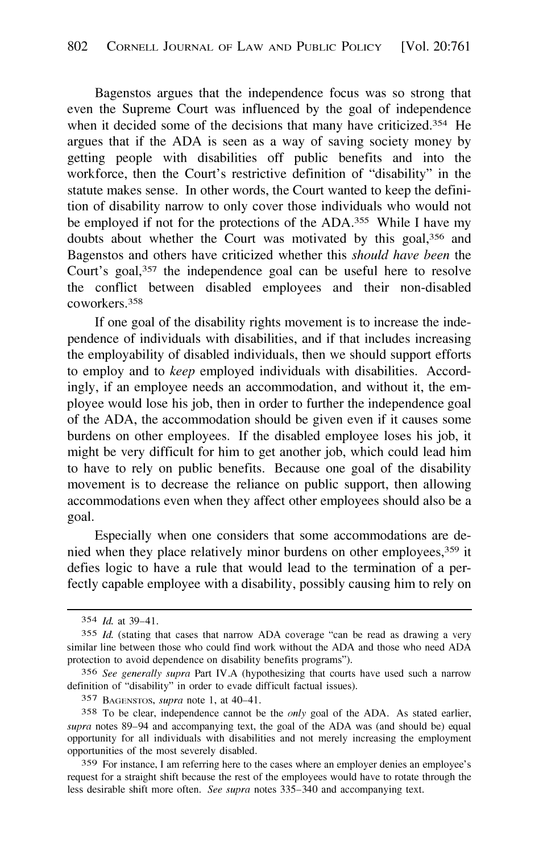Bagenstos argues that the independence focus was so strong that even the Supreme Court was influenced by the goal of independence when it decided some of the decisions that many have criticized.<sup>354</sup> He argues that if the ADA is seen as a way of saving society money by getting people with disabilities off public benefits and into the workforce, then the Court's restrictive definition of "disability" in the statute makes sense. In other words, the Court wanted to keep the definition of disability narrow to only cover those individuals who would not be employed if not for the protections of the ADA.<sup>355</sup> While I have my doubts about whether the Court was motivated by this goal,356 and Bagenstos and others have criticized whether this *should have been* the Court's goal,357 the independence goal can be useful here to resolve the conflict between disabled employees and their non-disabled coworkers. 358

If one goal of the disability rights movement is to increase the independence of individuals with disabilities, and if that includes increasing the employability of disabled individuals, then we should support efforts to employ and to *keep* employed individuals with disabilities. Accordingly, if an employee needs an accommodation, and without it, the employee would lose his job, then in order to further the independence goal of the ADA, the accommodation should be given even if it causes some burdens on other employees. If the disabled employee loses his job, it might be very difficult for him to get another job, which could lead him to have to rely on public benefits. Because one goal of the disability movement is to decrease the reliance on public support, then allowing accommodations even when they affect other employees should also be a goal.

Especially when one considers that some accommodations are denied when they place relatively minor burdens on other employees,359 it defies logic to have a rule that would lead to the termination of a perfectly capable employee with a disability, possibly causing him to rely on

<sup>354</sup> *Id.* at 39-41.

<sup>355</sup> *Id.* (stating that cases that narrow ADA coverage "can be read as drawing a very similar line between those who could find work without the ADA and those who need ADA protection to avoid dependence on disability benefits programs").

<sup>356</sup> *See generally supra* Part IV.A (hypothesizing that courts have used such a narrow definition of "disability" in order to evade difficult factual issues).

<sup>357</sup> BAGENSTOS, *supra* note 1, at 40-41.

<sup>358</sup> To be clear, independence cannot be the *only* goal of the ADA. As stated earlier, *supra* notes 89-94 and accompanying text, the goal of the ADA was (and should be) equal opportunity for all individuals with disabilities and not merely increasing the employment opportunities of the most severely disabled.

<sup>359</sup> For instance, I am referring here to the cases where an employer denies an employee's request for a straight shift because the rest of the employees would have to rotate through the less desirable shift more often. *See supra* notes 335-340 and accompanying text.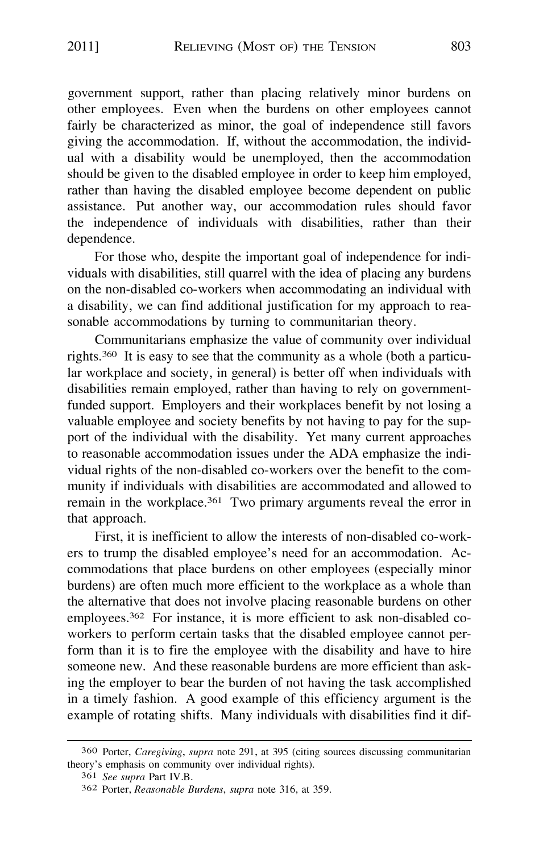government support, rather than placing relatively minor burdens on other employees. Even when the burdens on other employees cannot fairly be characterized as minor, the goal of independence still favors giving the accommodation. If, without the accommodation, the individual with a disability would be unemployed, then the accommodation should be given to the disabled employee in order to keep him employed, rather than having the disabled employee become dependent on public assistance. Put another way, our accommodation rules should favor the independence of individuals with disabilities, rather than their dependence.

For those who, despite the important goal of independence for individuals with disabilities, still quarrel with the idea of placing any burdens on the non-disabled co-workers when accommodating an individual with a disability, we can find additional justification for my approach to reasonable accommodations by turning to communitarian theory.

Communitarians emphasize the value of community over individual rights.360 It is easy to see that the community as a whole (both a particular workplace and society, in general) is better off when individuals with disabilities remain employed, rather than having to rely on governmentfunded support. Employers and their workplaces benefit by not losing a valuable employee and society benefits by not having to pay for the support of the individual with the disability. Yet many current approaches to reasonable accommodation issues under the ADA emphasize the individual rights of the non-disabled co-workers over the benefit to the community if individuals with disabilities are accommodated and allowed to remain in the workplace.<sup>361</sup> Two primary arguments reveal the error in that approach.

First, it is inefficient to allow the interests of non-disabled co-workers to trump the disabled employee's need for an accommodation. Accommodations that place burdens on other employees (especially minor burdens) are often much more efficient to the workplace as a whole than the alternative that does not involve placing reasonable burdens on other employees.362 For instance, it is more efficient to ask non-disabled coworkers to perform certain tasks that the disabled employee cannot perform than it is to fire the employee with the disability and have to hire someone new. And these reasonable burdens are more efficient than asking the employer to bear the burden of not having the task accomplished in a timely fashion. A good example of this efficiency argument is the example of rotating shifts. Many individuals with disabilities find it dif-

<sup>360</sup> Porter, *Caregiving, supra* note 291, at 395 (citing sources discussing communitarian theory's emphasis on community over individual rights).

<sup>36</sup> 1 *See supra* Part IV.B.

<sup>362</sup> Porter, *Reasonable Burdens, supra* note 316, at 359.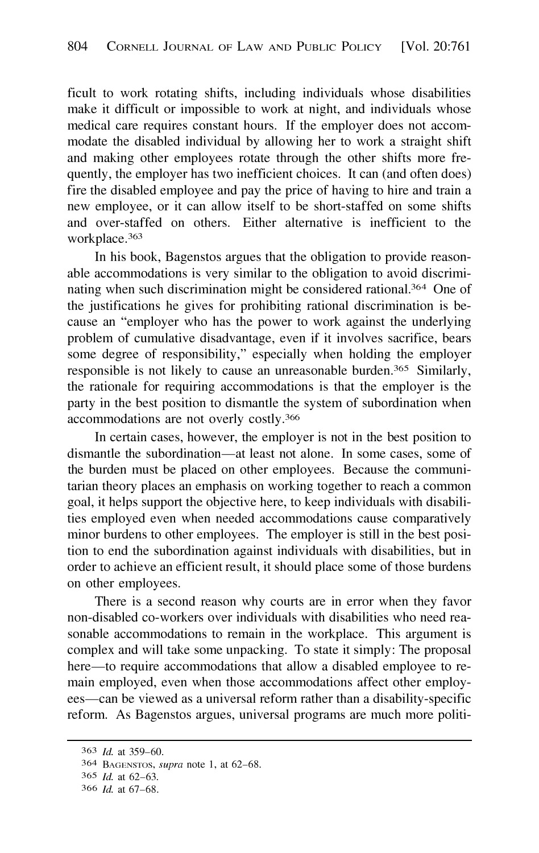ficult to work rotating shifts, including individuals whose disabilities make it difficult or impossible to work at night, and individuals whose medical care requires constant hours. If the employer does not accommodate the disabled individual by allowing her to work a straight shift and making other employees rotate through the other shifts more frequently, the employer has two inefficient choices. It can (and often does) fire the disabled employee and pay the price of having to hire and train a new employee, or it can allow itself to be short-staffed on some shifts and over-staffed on others. Either alternative is inefficient to the workplace. 363

In his book, Bagenstos argues that the obligation to provide reasonable accommodations is very similar to the obligation to avoid discriminating when such discrimination might be considered rational. 364 One of the justifications he gives for prohibiting rational discrimination is because an "employer who has the power to work against the underlying problem of cumulative disadvantage, even if it involves sacrifice, bears some degree of responsibility," especially when holding the employer responsible is not likely to cause an unreasonable burden.365 Similarly, the rationale for requiring accommodations is that the employer is the party in the best position to dismantle the system of subordination when accommodations are not overly costly.<sup>366</sup>

In certain cases, however, the employer is not in the best position to dismantle the subordination-at least not alone. In some cases, some of the burden must be placed on other employees. Because the communitarian theory places an emphasis on working together to reach a common goal, it helps support the objective here, to keep individuals with disabilities employed even when needed accommodations cause comparatively minor burdens to other employees. The employer is still in the best position to end the subordination against individuals with disabilities, but in order to achieve an efficient result, it should place some of those burdens on other employees.

There is a second reason why courts are in error when they favor non-disabled co-workers over individuals with disabilities who need reasonable accommodations to remain in the workplace. This argument is complex and will take some unpacking. To state it simply: The proposal here—to require accommodations that allow a disabled employee to remain employed, even when those accommodations affect other employees—can be viewed as a universal reform rather than a disability-specific reform. As Bagenstos argues, universal programs are much more politi-

<sup>363</sup> *Id.* at 359-60.

<sup>364</sup> BAGENSTOS, *supra* note 1, at 62-68.

<sup>365</sup> *Id.* at 62-63.

<sup>366</sup> *Id.* at 67-68.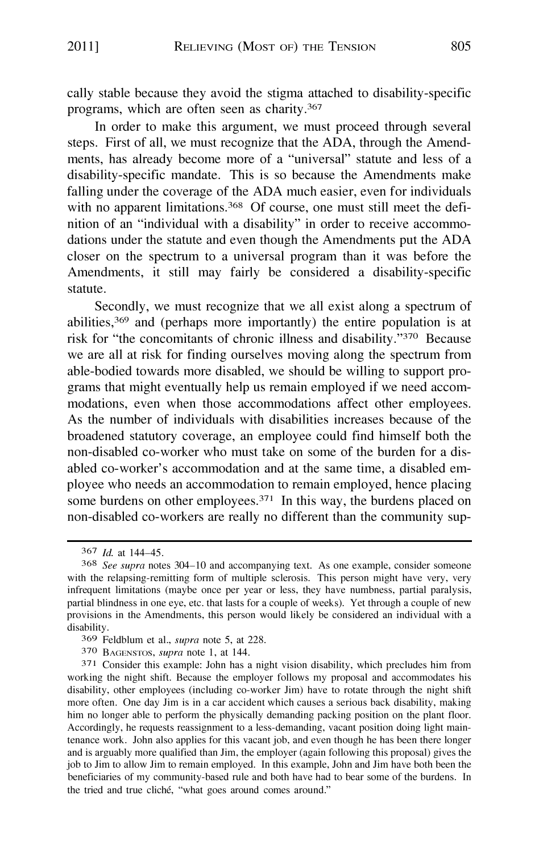cally stable because they avoid the stigma attached to disability-specific programs, which are often seen as charity.<sup>367</sup>

In order to make this argument, we must proceed through several steps. First of all, we must recognize that the ADA, through the Amendments, has already become more of a "universal" statute and less of a disability-specific mandate. This is so because the Amendments make falling under the coverage of the ADA much easier, even for individuals with no apparent limitations.<sup>368</sup> Of course, one must still meet the definition of an "individual with a disability" in order to receive accommodations under the statute and even though the Amendments put the ADA closer on the spectrum to a universal program than it was before the Amendments, it still may fairly be considered a disability-specific statute.

Secondly, we must recognize that we all exist along a spectrum of abilities,369 and (perhaps more importantly) the entire population is at risk for "the concomitants of chronic illness and disability."370 Because we are all at risk for finding ourselves moving along the spectrum from able-bodied towards more disabled, we should be willing to support programs that might eventually help us remain employed if we need accommodations, even when those accommodations affect other employees. As the number of individuals with disabilities increases because of the broadened statutory coverage, an employee could find himself both the non-disabled co-worker who must take on some of the burden for a disabled co-worker's accommodation and at the same time, a disabled employee who needs an accommodation to remain employed, hence placing some burdens on other employees. $371$  In this way, the burdens placed on non-disabled co-workers are really no different than the community sup-

<sup>367</sup> *Id.* at 144-45.

<sup>368</sup> *See supra* notes 304-10 and accompanying text. As one example, consider someone with the relapsing-remitting form of multiple sclerosis. This person might have very, very infrequent limitations (maybe once per year or less, they have numbness, partial paralysis, partial blindness in one eye, etc. that lasts for a couple of weeks). Yet through a couple of new provisions in the Amendments, this person would likely be considered an individual with a disability.

<sup>369</sup> Feldblum et al., *supra* note 5, at 228.

<sup>370</sup> BAGENSTOS, *supra* note l, at 144.

<sup>37</sup>l Consider this example: John has a night vision disability, which precludes him from working the night shift. Because the employer follows my proposal and accommodates his disability, other employees (including co-worker Jim) have to rotate through the night shift more often. One day Jim is in a car accident which causes a serious back disability, making him no longer able to perform the physically demanding packing position on the plant floor. Accordingly, he requests reassignment to a less-demanding, vacant position doing light maintenance work. John also applies for this vacant job, and even though he has been there longer and is arguably more qualified than Jim, the employer (again following this proposal) gives the job to Jim to allow Jim to remain employed. In this example, John and Jim have both been the beneficiaries of my community-based rule and both have had to bear some of the burdens. In the tried and true cliché, "what goes around comes around."